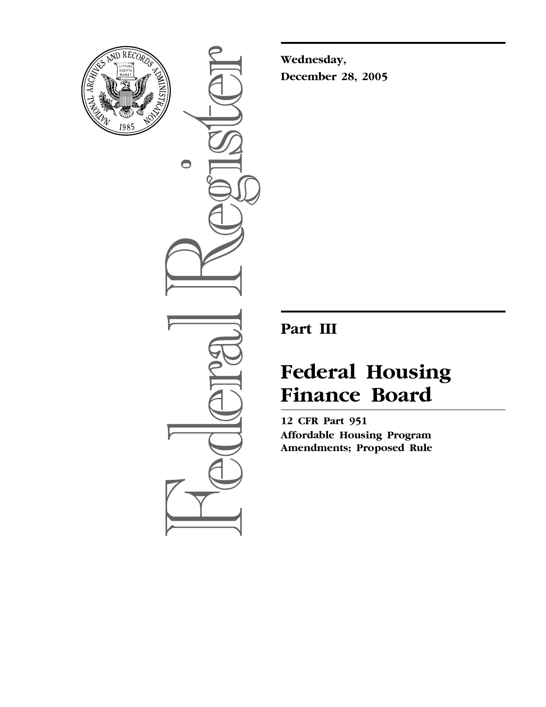

 $\bullet$ 

**Wednesday, December 28, 2005** 

# **Part III**

# **Federal Housing Finance Board**

**12 CFR Part 951 Affordable Housing Program Amendments; Proposed Rule**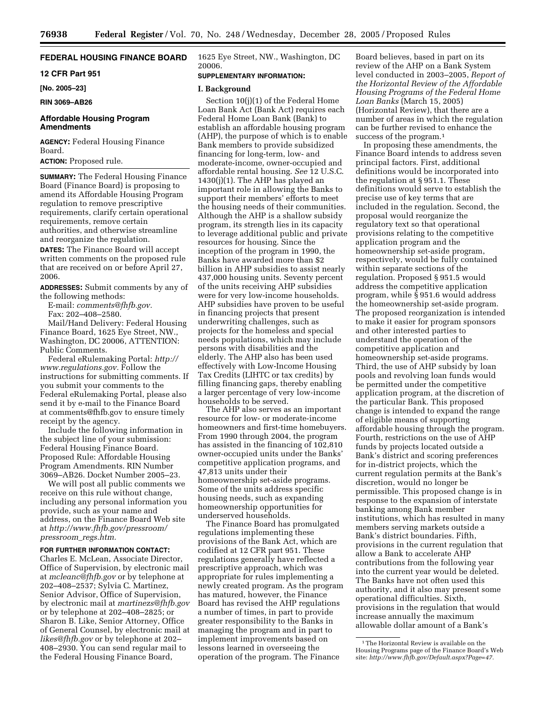# **FEDERAL HOUSING FINANCE BOARD**

# **12 CFR Part 951**

**[No. 2005–23]** 

#### **RIN 3069–AB26**

# **Affordable Housing Program Amendments**

**AGENCY:** Federal Housing Finance Board.

**ACTION:** Proposed rule.

**SUMMARY:** The Federal Housing Finance Board (Finance Board) is proposing to amend its Affordable Housing Program regulation to remove prescriptive requirements, clarify certain operational requirements, remove certain authorities, and otherwise streamline and reorganize the regulation.

**DATES:** The Finance Board will accept written comments on the proposed rule that are received on or before April 27, 2006.

**ADDRESSES:** Submit comments by any of the following methods:

E-mail: *[comments@fhfb.gov.](mailto:comments@fhfb.gov)*  Fax: 202–408–2580.

Mail/Hand Delivery: Federal Housing Finance Board, 1625 Eye Street, NW., Washington, DC 20006, ATTENTION: Public Comments.

Federal eRulemaking Portal: *[http://](http://www.regulations.gov)  [www.regulations.gov.](http://www.regulations.gov)* Follow the instructions for submitting comments. If you submit your comments to the Federal eRulemaking Portal, please also send it by e-mail to the Finance Board at [comments@fhfb.gov to](mailto:comments@fhfb.gov) ensure timely receipt by the agency.

Include the following information in the subject line of your submission: Federal Housing Finance Board. Proposed Rule: Affordable Housing Program Amendments. RIN Number 3069–AB26. Docket Number 2005–23.

We will post all public comments we receive on this rule without change, including any personal information you provide, such as your name and address, on the Finance Board Web site at *[http://www.fhfb.gov/pressroom/](http://www.fhfb.gov/pressroom/pressroom_regs.htm)  pressroom*\_*regs.htm.* 

### **FOR FURTHER INFORMATION CONTACT:**

Charles E. McLean, Associate Director, Office of Supervision, by electronic mail at *[mcleanc@fhfb.gov](mailto:mcleanc@fhfb.gov)* or by telephone at 202–408–2537; Sylvia C. Martinez, Senior Advisor, Office of Supervision, by electronic mail at *[martinezs@fhfb.gov](mailto:martinezs@fhfb.gov)*  or by telephone at 202–408–2825; or Sharon B. Like, Senior Attorney, Office of General Counsel, by electronic mail at *[likes@fhfb.gov](mailto:likes@fhfb.gov)* or by telephone at 202– 408–2930. You can send regular mail to the Federal Housing Finance Board,

1625 Eye Street, NW., Washington, DC 20006.

# **SUPPLEMENTARY INFORMATION:**

#### **I. Background**

Section 10(j)(1) of the Federal Home Loan Bank Act (Bank Act) requires each Federal Home Loan Bank (Bank) to establish an affordable housing program (AHP), the purpose of which is to enable Bank members to provide subsidized financing for long-term, low- and moderate-income, owner-occupied and affordable rental housing. *See* 12 U.S.C. 1430(j)(1). The AHP has played an important role in allowing the Banks to support their members' efforts to meet the housing needs of their communities. Although the AHP is a shallow subsidy program, its strength lies in its capacity to leverage additional public and private resources for housing. Since the inception of the program in 1990, the Banks have awarded more than \$2 billion in AHP subsidies to assist nearly 437,000 housing units. Seventy percent of the units receiving AHP subsidies were for very low-income households. AHP subsidies have proven to be useful in financing projects that present underwriting challenges, such as projects for the homeless and special needs populations, which may include persons with disabilities and the elderly. The AHP also has been used effectively with Low-Income Housing Tax Credits (LIHTC or tax credits) by filling financing gaps, thereby enabling a larger percentage of very low-income households to be served.

The AHP also serves as an important resource for low- or moderate-income homeowners and first-time homebuyers. From 1990 through 2004, the program has assisted in the financing of 102,810 owner-occupied units under the Banks' competitive application programs, and 47,813 units under their homeownership set-aside programs. Some of the units address specific housing needs, such as expanding homeownership opportunities for underserved households.

The Finance Board has promulgated regulations implementing these provisions of the Bank Act, which are codified at 12 CFR part 951. These regulations generally have reflected a prescriptive approach, which was appropriate for rules implementing a newly created program. As the program has matured, however, the Finance Board has revised the AHP regulations a number of times, in part to provide greater responsibility to the Banks in managing the program and in part to implement improvements based on lessons learned in overseeing the operation of the program. The Finance

Board believes, based in part on its review of the AHP on a Bank System level conducted in 2003–2005, *Report of the Horizontal Review of the Affordable Housing Programs of the Federal Home Loan Banks* (March 15, 2005) (Horizontal Review), that there are a number of areas in which the regulation can be further revised to enhance the success of the program.<sup>1</sup>

In proposing these amendments, the Finance Board intends to address seven principal factors. First, additional definitions would be incorporated into the regulation at § 951.1. These definitions would serve to establish the precise use of key terms that are included in the regulation. Second, the proposal would reorganize the regulatory text so that operational provisions relating to the competitive application program and the homeownership set-aside program, respectively, would be fully contained within separate sections of the regulation. Proposed § 951.5 would address the competitive application program, while § 951.6 would address the homeownership set-aside program. The proposed reorganization is intended to make it easier for program sponsors and other interested parties to understand the operation of the competitive application and homeownership set-aside programs. Third, the use of AHP subsidy by loan pools and revolving loan funds would be permitted under the competitive application program, at the discretion of the particular Bank. This proposed change is intended to expand the range of eligible means of supporting affordable housing through the program. Fourth, restrictions on the use of AHP funds by projects located outside a Bank's district and scoring preferences for in-district projects, which the current regulation permits at the Bank's discretion, would no longer be permissible. This proposed change is in response to the expansion of interstate banking among Bank member institutions, which has resulted in many members serving markets outside a Bank's district boundaries. Fifth, provisions in the current regulation that allow a Bank to accelerate AHP contributions from the following year into the current year would be deleted. The Banks have not often used this authority, and it also may present some operational difficulties. Sixth, provisions in the regulation that would increase annually the maximum allowable dollar amount of a Bank's

 $^{\rm 1}\!$  The Horizontal Review is available on the Housing Programs page of the Finance Board's Web site: *[http://www.fhfb.gov/Default.aspx?Page=47.](http://www.fhfb.gov/Default.aspx?Page=47)*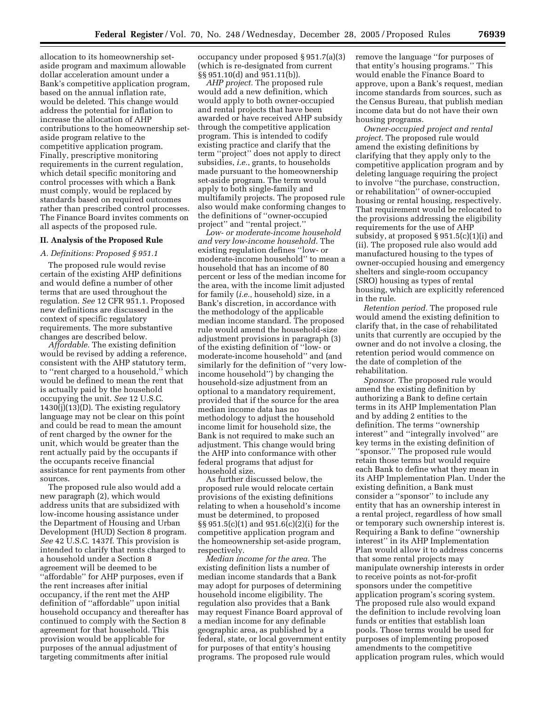allocation to its homeownership setaside program and maximum allowable dollar acceleration amount under a Bank's competitive application program, based on the annual inflation rate, would be deleted. This change would address the potential for inflation to increase the allocation of AHP contributions to the homeownership setaside program relative to the competitive application program. Finally, prescriptive monitoring requirements in the current regulation, which detail specific monitoring and control processes with which a Bank must comply, would be replaced by standards based on required outcomes rather than prescribed control processes. The Finance Board invites comments on all aspects of the proposed rule.

### **II. Analysis of the Proposed Rule**

#### *A. Definitions: Proposed § 951.1*

The proposed rule would revise certain of the existing AHP definitions and would define a number of other terms that are used throughout the regulation. *See* 12 CFR 951.1. Proposed new definitions are discussed in the context of specific regulatory requirements. The more substantive changes are described below.

*Affordable.* The existing definition would be revised by adding a reference, consistent with the AHP statutory term, to ''rent charged to a household,'' which would be defined to mean the rent that is actually paid by the household occupying the unit. *See* 12 U.S.C. 1430(j)(13)(D). The existing regulatory language may not be clear on this point and could be read to mean the amount of rent charged by the owner for the unit, which would be greater than the rent actually paid by the occupants if the occupants receive financial assistance for rent payments from other sources.

The proposed rule also would add a new paragraph (2), which would address units that are subsidized with low-income housing assistance under the Department of Housing and Urban Development (HUD) Section 8 program. *See* 42 U.S.C. 1437f. This provision is intended to clarify that rents charged to a household under a Section 8 agreement will be deemed to be ''affordable'' for AHP purposes, even if the rent increases after initial occupancy, if the rent met the AHP definition of ''affordable'' upon initial household occupancy and thereafter has continued to comply with the Section 8 agreement for that household. This provision would be applicable for purposes of the annual adjustment of targeting commitments after initial

occupancy under proposed § 951.7(a)(3) (which is re-designated from current §§ 951.10(d) and 951.11(b)).

*AHP project.* The proposed rule would add a new definition, which would apply to both owner-occupied and rental projects that have been awarded or have received AHP subsidy through the competitive application program. This is intended to codify existing practice and clarify that the term ''project'' does not apply to direct subsidies, *i.e.*, grants, to households made pursuant to the homeownership set-aside program. The term would apply to both single-family and multifamily projects. The proposed rule also would make conforming changes to the definitions of ''owner-occupied project'' and ''rental project.''

*Low- or moderate-income household and very low-income household.* The existing regulation defines ''low- or moderate-income household'' to mean a household that has an income of 80 percent or less of the median income for the area, with the income limit adjusted for family (*i.e.*, household) size, in a Bank's discretion, in accordance with the methodology of the applicable median income standard. The proposed rule would amend the household-size adjustment provisions in paragraph (3) of the existing definition of ''low- or moderate-income household'' and (and similarly for the definition of ''very lowincome household'') by changing the household-size adjustment from an optional to a mandatory requirement, provided that if the source for the area median income data has no methodology to adjust the household income limit for household size, the Bank is not required to make such an adjustment. This change would bring the AHP into conformance with other federal programs that adjust for household size.

As further discussed below, the proposed rule would relocate certain provisions of the existing definitions relating to when a household's income must be determined, to proposed §§ 951.5(c)(1) and 951.6(c)(2)(i) for the competitive application program and the homeownership set-aside program, respectively.

*Median income for the area.* The existing definition lists a number of median income standards that a Bank may adopt for purposes of determining household income eligibility. The regulation also provides that a Bank may request Finance Board approval of a median income for any definable geographic area, as published by a federal, state, or local government entity for purposes of that entity's housing programs. The proposed rule would

remove the language ''for purposes of that entity's housing programs.'' This would enable the Finance Board to approve, upon a Bank's request, median income standards from sources, such as the Census Bureau, that publish median income data but do not have their own housing programs.

*Owner-occupied project and rental project.* The proposed rule would amend the existing definitions by clarifying that they apply only to the competitive application program and by deleting language requiring the project to involve ''the purchase, construction, or rehabilitation'' of owner-occupied housing or rental housing, respectively. That requirement would be relocated to the provisions addressing the eligibility requirements for the use of AHP subsidy, at proposed § 951.5(c)(1)(i) and (ii). The proposed rule also would add manufactured housing to the types of owner-occupied housing and emergency shelters and single-room occupancy (SRO) housing as types of rental housing, which are explicitly referenced in the rule.

*Retention period.* The proposed rule would amend the existing definition to clarify that, in the case of rehabilitated units that currently are occupied by the owner and do not involve a closing, the retention period would commence on the date of completion of the rehabilitation.

*Sponsor.* The proposed rule would amend the existing definition by authorizing a Bank to define certain terms in its AHP Implementation Plan and by adding 2 entities to the definition. The terms ''ownership interest'' and ''integrally involved'' are key terms in the existing definition of ''sponsor.'' The proposed rule would retain those terms but would require each Bank to define what they mean in its AHP Implementation Plan. Under the existing definition, a Bank must consider a ''sponsor'' to include any entity that has an ownership interest in a rental project, regardless of how small or temporary such ownership interest is. Requiring a Bank to define ''ownership interest'' in its AHP Implementation Plan would allow it to address concerns that some rental projects may manipulate ownership interests in order to receive points as not-for-profit sponsors under the competitive application program's scoring system. The proposed rule also would expand the definition to include revolving loan funds or entities that establish loan pools. Those terms would be used for purposes of implementing proposed amendments to the competitive application program rules, which would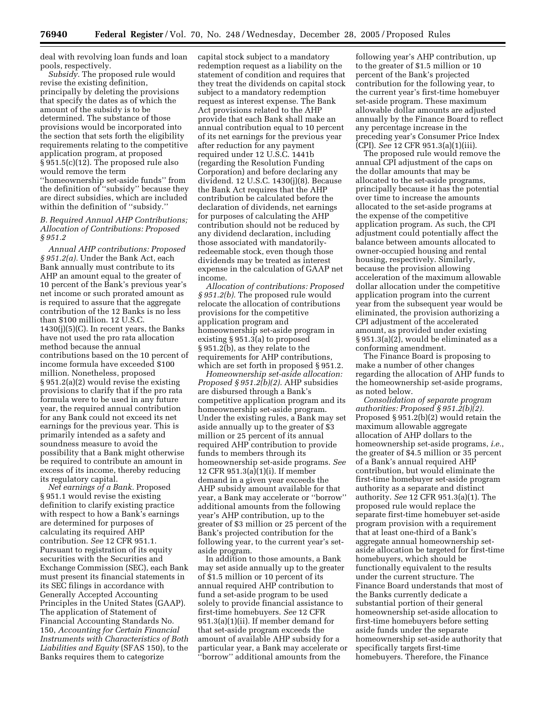deal with revolving loan funds and loan pools, respectively.

*Subsidy.* The proposed rule would revise the existing definition, principally by deleting the provisions that specify the dates as of which the amount of the subsidy is to be determined. The substance of those provisions would be incorporated into the section that sets forth the eligibility requirements relating to the competitive application program, at proposed § 951.5(c)(12). The proposed rule also would remove the term ''homeownership set-aside funds'' from the definition of ''subsidy'' because they are direct subsidies, which are included within the definition of ''subsidy.''

# *B. Required Annual AHP Contributions; Allocation of Contributions: Proposed § 951.2*

*Annual AHP contributions: Proposed § 951.2(a).* Under the Bank Act, each Bank annually must contribute to its AHP an amount equal to the greater of 10 percent of the Bank's previous year's net income or such prorated amount as is required to assure that the aggregate contribution of the 12 Banks is no less than \$100 million. 12 U.S.C.  $1430(j)(5)(C)$ . In recent years, the Banks have not used the pro rata allocation method because the annual contributions based on the 10 percent of income formula have exceeded \$100 million. Nonetheless, proposed § 951.2(a)(2) would revise the existing provisions to clarify that if the pro rata formula were to be used in any future year, the required annual contribution for any Bank could not exceed its net earnings for the previous year. This is primarily intended as a safety and soundness measure to avoid the possibility that a Bank might otherwise be required to contribute an amount in excess of its income, thereby reducing its regulatory capital.

*Net earnings of a Bank.* Proposed § 951.1 would revise the existing definition to clarify existing practice with respect to how a Bank's earnings are determined for purposes of calculating its required AHP contribution. *See* 12 CFR 951.1. Pursuant to registration of its equity securities with the Securities and Exchange Commission (SEC), each Bank must present its financial statements in its SEC filings in accordance with Generally Accepted Accounting Principles in the United States (GAAP). The application of Statement of Financial Accounting Standards No. 150, *Accounting for Certain Financial Instruments with Characteristics of Both Liabilities and Equity* (SFAS 150), to the Banks requires them to categorize

capital stock subject to a mandatory redemption request as a liability on the statement of condition and requires that they treat the dividends on capital stock subject to a mandatory redemption request as interest expense. The Bank Act provisions related to the AHP provide that each Bank shall make an annual contribution equal to 10 percent of its net earnings for the previous year after reduction for any payment required under 12 U.S.C. 1441b (regarding the Resolution Funding Corporation) and before declaring any dividend. 12 U.S.C. 1430(j)(8). Because the Bank Act requires that the AHP contribution be calculated before the declaration of dividends, net earnings for purposes of calculating the AHP contribution should not be reduced by any dividend declaration, including those associated with mandatorilyredeemable stock, even though those dividends may be treated as interest expense in the calculation of GAAP net income.

*Allocation of contributions: Proposed § 951.2(b).* The proposed rule would relocate the allocation of contributions provisions for the competitive application program and homeownership set-aside program in existing § 951.3(a) to proposed § 951.2(b), as they relate to the requirements for AHP contributions, which are set forth in proposed § 951.2.

*Homeownership set-aside allocation: Proposed § 951.2(b)(2).* AHP subsidies are disbursed through a Bank's competitive application program and its homeownership set-aside program. Under the existing rules, a Bank may set aside annually up to the greater of \$3 million or 25 percent of its annual required AHP contribution to provide funds to members through its homeownership set-aside programs. *See*  12 CFR 951.3(a)(1)(i). If member demand in a given year exceeds the AHP subsidy amount available for that year, a Bank may accelerate or ''borrow'' additional amounts from the following year's AHP contribution, up to the greater of \$3 million or 25 percent of the Bank's projected contribution for the following year, to the current year's setaside program.

In addition to those amounts, a Bank may set aside annually up to the greater of \$1.5 million or 10 percent of its annual required AHP contribution to fund a set-aside program to be used solely to provide financial assistance to first-time homebuyers. *See* 12 CFR 951.3(a)(1)(ii). If member demand for that set-aside program exceeds the amount of available AHP subsidy for a particular year, a Bank may accelerate or ''borrow'' additional amounts from the

following year's AHP contribution, up to the greater of \$1.5 million or 10 percent of the Bank's projected contribution for the following year, to the current year's first-time homebuyer set-aside program. These maximum allowable dollar amounts are adjusted annually by the Finance Board to reflect any percentage increase in the preceding year's Consumer Price Index (CPI). *See* 12 CFR 951.3(a)(1)(iii).

The proposed rule would remove the annual CPI adjustment of the caps on the dollar amounts that may be allocated to the set-aside programs, principally because it has the potential over time to increase the amounts allocated to the set-aside programs at the expense of the competitive application program. As such, the CPI adjustment could potentially affect the balance between amounts allocated to owner-occupied housing and rental housing, respectively. Similarly, because the provision allowing acceleration of the maximum allowable dollar allocation under the competitive application program into the current year from the subsequent year would be eliminated, the provision authorizing a CPI adjustment of the accelerated amount, as provided under existing § 951.3(a)(2), would be eliminated as a conforming amendment.

The Finance Board is proposing to make a number of other changes regarding the allocation of AHP funds to the homeownership set-aside programs, as noted below.

*Consolidation of separate program authorities: Proposed § 951.2(b)(2).*  Proposed § 951.2(b)(2) would retain the maximum allowable aggregate allocation of AHP dollars to the homeownership set-aside programs, *i.e.*, the greater of \$4.5 million or 35 percent of a Bank's annual required AHP contribution, but would eliminate the first-time homebuyer set-aside program authority as a separate and distinct authority. *See* 12 CFR 951.3(a)(1). The proposed rule would replace the separate first-time homebuyer set-aside program provision with a requirement that at least one-third of a Bank's aggregate annual homeownership setaside allocation be targeted for first-time homebuyers, which should be functionally equivalent to the results under the current structure. The Finance Board understands that most of the Banks currently dedicate a substantial portion of their general homeownership set-aside allocation to first-time homebuyers before setting aside funds under the separate homeownership set-aside authority that specifically targets first-time homebuyers. Therefore, the Finance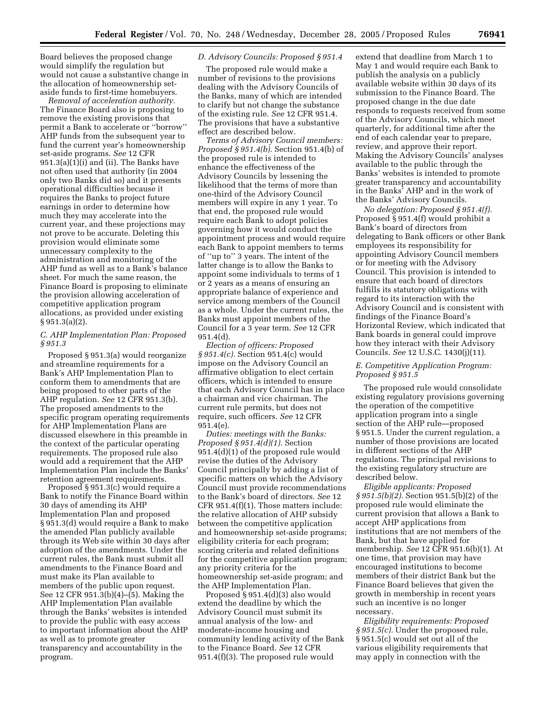Board believes the proposed change would simplify the regulation but would not cause a substantive change in the allocation of homeownership setaside funds to first-time homebuyers.

*Removal of acceleration authority.*  The Finance Board also is proposing to remove the existing provisions that permit a Bank to accelerate or ''borrow'' AHP funds from the subsequent year to fund the current year's homeownership set-aside programs. *See* 12 CFR 951.3(a)(1)(i) and (ii). The Banks have not often used that authority (in 2004 only two Banks did so) and it presents operational difficulties because it requires the Banks to project future earnings in order to determine how much they may accelerate into the current year, and these projections may not prove to be accurate. Deleting this provision would eliminate some unnecessary complexity to the administration and monitoring of the AHP fund as well as to a Bank's balance sheet. For much the same reason, the Finance Board is proposing to eliminate the provision allowing acceleration of competitive application program allocations, as provided under existing  $§ 951.3(a)(2).$ 

### *C. AHP Implementation Plan: Proposed § 951.3*

Proposed § 951.3(a) would reorganize and streamline requirements for a Bank's AHP Implementation Plan to conform them to amendments that are being proposed to other parts of the AHP regulation. *See* 12 CFR 951.3(b). The proposed amendments to the specific program operating requirements for AHP Implementation Plans are discussed elsewhere in this preamble in the context of the particular operating requirements. The proposed rule also would add a requirement that the AHP Implementation Plan include the Banks' retention agreement requirements.

Proposed § 951.3(c) would require a Bank to notify the Finance Board within 30 days of amending its AHP Implementation Plan and proposed § 951.3(d) would require a Bank to make the amended Plan publicly available through its Web site within 30 days after adoption of the amendments. Under the current rules, the Bank must submit all amendments to the Finance Board and must make its Plan available to members of the public upon request. See 12 CFR 951.3(b)(4)–(5). Making the AHP Implementation Plan available through the Banks' websites is intended to provide the public with easy access to important information about the AHP as well as to promote greater transparency and accountability in the program.

# *D. Advisory Councils: Proposed § 951.4*

The proposed rule would make a number of revisions to the provisions dealing with the Advisory Councils of the Banks, many of which are intended to clarify but not change the substance of the existing rule. *See* 12 CFR 951.4. The provisions that have a substantive effect are described below.

*Terms of Advisory Council members: Proposed § 951.4(b).* Section 951.4(b) of the proposed rule is intended to enhance the effectiveness of the Advisory Councils by lessening the likelihood that the terms of more than one-third of the Advisory Council members will expire in any 1 year. To that end, the proposed rule would require each Bank to adopt policies governing how it would conduct the appointment process and would require each Bank to appoint members to terms of ''up to'' 3 years. The intent of the latter change is to allow the Banks to appoint some individuals to terms of 1 or 2 years as a means of ensuring an appropriate balance of experience and service among members of the Council as a whole. Under the current rules, the Banks must appoint members of the Council for a 3 year term. *See* 12 CFR 951.4(d).

*Election of officers: Proposed § 951.4(c).* Section 951.4(c) would impose on the Advisory Council an affirmative obligation to elect certain officers, which is intended to ensure that each Advisory Council has in place a chairman and vice chairman. The current rule permits, but does not require, such officers. *See* 12 CFR 951.4(e).

*Duties: meetings with the Banks: Proposed § 951.4(d)(1).* Section 951.4(d)(1) of the proposed rule would revise the duties of the Advisory Council principally by adding a list of specific matters on which the Advisory Council must provide recommendations to the Bank's board of directors. *See* 12 CFR 951.4(f)(1). Those matters include: the relative allocation of AHP subsidy between the competitive application and homeownership set-aside programs; eligibility criteria for each program; scoring criteria and related definitions for the competitive application program; any priority criteria for the homeownership set-aside program; and the AHP Implementation Plan.

Proposed § 951.4(d)(3) also would extend the deadline by which the Advisory Council must submit its annual analysis of the low- and moderate-income housing and community lending activity of the Bank to the Finance Board. *See* 12 CFR 951.4(f)(3). The proposed rule would

extend that deadline from March 1 to May 1 and would require each Bank to publish the analysis on a publicly available website within 30 days of its submission to the Finance Board. The proposed change in the due date responds to requests received from some of the Advisory Councils, which meet quarterly, for additional time after the end of each calendar year to prepare, review, and approve their report. Making the Advisory Councils' analyses available to the public through the Banks' websites is intended to promote greater transparency and accountability in the Banks' AHP and in the work of the Banks' Advisory Councils.

*No delegation: Proposed § 951.4(f).*  Proposed § 951.4(f) would prohibit a Bank's board of directors from delegating to Bank officers or other Bank employees its responsibility for appointing Advisory Council members or for meeting with the Advisory Council. This provision is intended to ensure that each board of directors fulfills its statutory obligations with regard to its interaction with the Advisory Council and is consistent with findings of the Finance Board's Horizontal Review, which indicated that Bank boards in general could improve how they interact with their Advisory Councils. *See* 12 U.S.C. 1430(j)(11).

# *E. Competitive Application Program: Proposed § 951.5*

The proposed rule would consolidate existing regulatory provisions governing the operation of the competitive application program into a single section of the AHP rule—proposed § 951.5. Under the current regulation, a number of those provisions are located in different sections of the AHP regulations. The principal revisions to the existing regulatory structure are described below.

*Eligible applicants: Proposed § 951.5(b)(2).* Section 951.5(b)(2) of the proposed rule would eliminate the current provision that allows a Bank to accept AHP applications from institutions that are not members of the Bank, but that have applied for membership. *See* 12 CFR 951.6(b)(1). At one time, that provision may have encouraged institutions to become members of their district Bank but the Finance Board believes that given the growth in membership in recent years such an incentive is no longer necessary.

*Eligibility requirements: Proposed § 951.5(c).* Under the proposed rule, § 951.5(c) would set out all of the various eligibility requirements that may apply in connection with the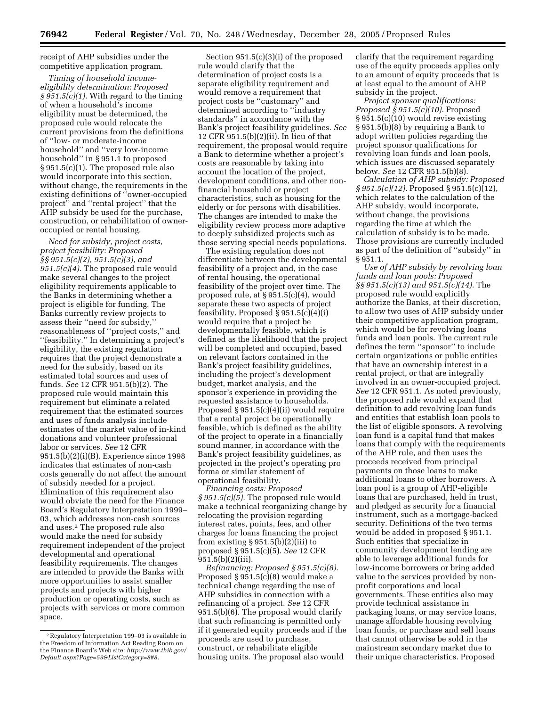receipt of AHP subsidies under the competitive application program.

*Timing of household incomeeligibility determination: Proposed § 951.5(c)(1).* With regard to the timing of when a household's income eligibility must be determined, the proposed rule would relocate the current provisions from the definitions of ''low- or moderate-income household'' and ''very low-income household'' in § 951.1 to proposed § 951.5(c)(1). The proposed rule also would incorporate into this section, without change, the requirements in the existing definitions of ''owner-occupied project'' and ''rental project'' that the AHP subsidy be used for the purchase, construction, or rehabilitation of owneroccupied or rental housing.

*Need for subsidy, project costs, project feasibility: Proposed §§ 951.5(c)(2), 951.5(c)(3), and 951.5(c)(4).* The proposed rule would make several changes to the project eligibility requirements applicable to the Banks in determining whether a project is eligible for funding. The Banks currently review projects to assess their ''need for subsidy,'' reasonableness of ''project costs,'' and ''feasibility.'' In determining a project's eligibility, the existing regulation requires that the project demonstrate a need for the subsidy, based on its estimated total sources and uses of funds. *See* 12 CFR 951.5(b)(2). The proposed rule would maintain this requirement but eliminate a related requirement that the estimated sources and uses of funds analysis include estimates of the market value of in-kind donations and volunteer professional labor or services. *See* 12 CFR 951.5(b)(2)(i)(B). Experience since 1998 indicates that estimates of non-cash costs generally do not affect the amount of subsidy needed for a project. Elimination of this requirement also would obviate the need for the Finance Board's Regulatory Interpretation 1999– 03, which addresses non-cash sources and uses.2 The proposed rule also would make the need for subsidy requirement independent of the project developmental and operational feasibility requirements. The changes are intended to provide the Banks with more opportunities to assist smaller projects and projects with higher production or operating costs, such as projects with services or more common space.

Section 951.5(c)(3)(i) of the proposed rule would clarify that the determination of project costs is a separate eligibility requirement and would remove a requirement that project costs be ''customary'' and determined according to ''industry standards'' in accordance with the Bank's project feasibility guidelines. *See*  12 CFR 951.5(b)(2)(ii). In lieu of that requirement, the proposal would require a Bank to determine whether a project's costs are reasonable by taking into account the location of the project, development conditions, and other nonfinancial household or project characteristics, such as housing for the elderly or for persons with disabilities. The changes are intended to make the eligibility review process more adaptive to deeply subsidized projects such as those serving special needs populations.

The existing regulation does not differentiate between the developmental feasibility of a project and, in the case of rental housing, the operational feasibility of the project over time. The proposed rule, at § 951.5(c)(4), would separate these two aspects of project feasibility. Proposed  $\S 951.5(c)(4)(i)$ would require that a project be developmentally feasible, which is defined as the likelihood that the project will be completed and occupied, based on relevant factors contained in the Bank's project feasibility guidelines, including the project's development budget, market analysis, and the sponsor's experience in providing the requested assistance to households. Proposed § 951.5(c)(4)(ii) would require that a rental project be operationally feasible, which is defined as the ability of the project to operate in a financially sound manner, in accordance with the Bank's project feasibility guidelines, as projected in the project's operating pro forma or similar statement of operational feasibility.

*Financing costs: Proposed § 951.5(c)(5).* The proposed rule would make a technical reorganizing change by relocating the provision regarding interest rates, points, fees, and other charges for loans financing the project from existing  $\S 951.5(b)(2)(iii)$  to proposed § 951.5(c)(5). *See* 12 CFR 951.5(b)(2)(iii).

*Refinancing: Proposed § 951.5(c)(8).*  Proposed § 951.5(c)(8) would make a technical change regarding the use of AHP subsidies in connection with a refinancing of a project. *See* 12 CFR 951.5(b)(6). The proposal would clarify that such refinancing is permitted only if it generated equity proceeds and if the proceeds are used to purchase, construct, or rehabilitate eligible housing units. The proposal also would

clarify that the requirement regarding use of the equity proceeds applies only to an amount of equity proceeds that is at least equal to the amount of AHP subsidy in the project.

*Project sponsor qualifications: Proposed § 951.5(c)(10).* Proposed § 951.5(c)(10) would revise existing § 951.5(b)(8) by requiring a Bank to adopt written policies regarding the project sponsor qualifications for revolving loan funds and loan pools, which issues are discussed separately below. *See* 12 CFR 951.5(b)(8).

*Calculation of AHP subsidy: Proposed § 951.5(c)(12).* Proposed § 951.5(c)(12), which relates to the calculation of the AHP subsidy, would incorporate, without change, the provisions regarding the time at which the calculation of subsidy is to be made. Those provisions are currently included as part of the definition of ''subsidy'' in § 951.1.

*Use of AHP subsidy by revolving loan funds and loan pools: Proposed §§ 951.5(c)(13) and 951.5(c)(14).* The proposed rule would explicitly authorize the Banks, at their discretion, to allow two uses of AHP subsidy under their competitive application program, which would be for revolving loans funds and loan pools. The current rule defines the term ''sponsor'' to include certain organizations or public entities that have an ownership interest in a rental project, or that are integrally involved in an owner-occupied project. *See* 12 CFR 951.1. As noted previously, the proposed rule would expand that definition to add revolving loan funds and entities that establish loan pools to the list of eligible sponsors. A revolving loan fund is a capital fund that makes loans that comply with the requirements of the AHP rule, and then uses the proceeds received from principal payments on those loans to make additional loans to other borrowers. A loan pool is a group of AHP-eligible loans that are purchased, held in trust, and pledged as security for a financial instrument, such as a mortgage-backed security. Definitions of the two terms would be added in proposed § 951.1. Such entities that specialize in community development lending are able to leverage additional funds for low-income borrowers or bring added value to the services provided by nonprofit corporations and local governments. These entities also may provide technical assistance in packaging loans, or may service loans, manage affordable housing revolving loan funds, or purchase and sell loans that cannot otherwise be sold in the mainstream secondary market due to their unique characteristics. Proposed

<sup>2</sup>Regulatory Interpretation 199–03 is available in the Freedom of Information Act Reading Room on the Finance Board's Web site: *http://www.thib.gov/ [Default.aspx?Page=59&ListCategory=8#8.](http://www.thib.gov/Default.aspx?Page=59&ListCategory=8#8)*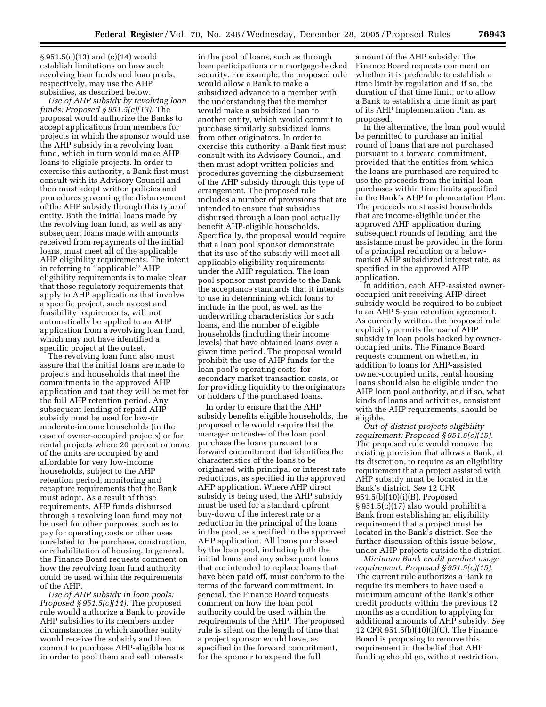§ 951.5(c)(13) and (c)(14) would establish limitations on how such revolving loan funds and loan pools, respectively, may use the AHP subsidies, as described below.

*Use of AHP subsidy by revolving loan funds: Proposed § 951.5(c)(13).* The proposal would authorize the Banks to accept applications from members for projects in which the sponsor would use the AHP subsidy in a revolving loan fund, which in turn would make AHP loans to eligible projects. In order to exercise this authority, a Bank first must consult with its Advisory Council and then must adopt written policies and procedures governing the disbursement of the AHP subsidy through this type of entity. Both the initial loans made by the revolving loan fund, as well as any subsequent loans made with amounts received from repayments of the initial loans, must meet all of the applicable AHP eligibility requirements. The intent in referring to ''applicable'' AHP eligibility requirements is to make clear that those regulatory requirements that apply to AHP applications that involve a specific project, such as cost and feasibility requirements, will not automatically be applied to an AHP application from a revolving loan fund, which may not have identified a specific project at the outset.

The revolving loan fund also must assure that the initial loans are made to projects and households that meet the commitments in the approved AHP application and that they will be met for the full AHP retention period. Any subsequent lending of repaid AHP subsidy must be used for low-or moderate-income households (in the case of owner-occupied projects) or for rental projects where 20 percent or more of the units are occupied by and affordable for very low-income households, subject to the AHP retention period, monitoring and recapture requirements that the Bank must adopt. As a result of those requirements, AHP funds disbursed through a revolving loan fund may not be used for other purposes, such as to pay for operating costs or other uses unrelated to the purchase, construction, or rehabilitation of housing. In general, the Finance Board requests comment on how the revolving loan fund authority could be used within the requirements of the AHP.

*Use of AHP subsidy in loan pools: Proposed § 951.5(c)(14).* The proposed rule would authorize a Bank to provide AHP subsidies to its members under circumstances in which another entity would receive the subsidy and then commit to purchase AHP-eligible loans in order to pool them and sell interests

in the pool of loans, such as through loan participations or a mortgage-backed security. For example, the proposed rule would allow a Bank to make a subsidized advance to a member with the understanding that the member would make a subsidized loan to another entity, which would commit to purchase similarly subsidized loans from other originators. In order to exercise this authority, a Bank first must consult with its Advisory Council, and then must adopt written policies and procedures governing the disbursement of the AHP subsidy through this type of arrangement. The proposed rule includes a number of provisions that are intended to ensure that subsidies disbursed through a loan pool actually benefit AHP-eligible households. Specifically, the proposal would require that a loan pool sponsor demonstrate that its use of the subsidy will meet all applicable eligibility requirements under the AHP regulation. The loan pool sponsor must provide to the Bank the acceptance standards that it intends to use in determining which loans to include in the pool, as well as the underwriting characteristics for such loans, and the number of eligible households (including their income levels) that have obtained loans over a given time period. The proposal would prohibit the use of AHP funds for the loan pool's operating costs, for secondary market transaction costs, or for providing liquidity to the originators or holders of the purchased loans.

In order to ensure that the AHP subsidy benefits eligible households, the proposed rule would require that the manager or trustee of the loan pool purchase the loans pursuant to a forward commitment that identifies the characteristics of the loans to be originated with principal or interest rate reductions, as specified in the approved AHP application. Where AHP direct subsidy is being used, the AHP subsidy must be used for a standard upfront buy-down of the interest rate or a reduction in the principal of the loans in the pool, as specified in the approved AHP application. All loans purchased by the loan pool, including both the initial loans and any subsequent loans that are intended to replace loans that have been paid off, must conform to the terms of the forward commitment. In general, the Finance Board requests comment on how the loan pool authority could be used within the requirements of the AHP. The proposed rule is silent on the length of time that a project sponsor would have, as specified in the forward commitment, for the sponsor to expend the full

amount of the AHP subsidy. The Finance Board requests comment on whether it is preferable to establish a time limit by regulation and if so, the duration of that time limit, or to allow a Bank to establish a time limit as part of its AHP Implementation Plan, as proposed.

In the alternative, the loan pool would be permitted to purchase an initial round of loans that are not purchased pursuant to a forward commitment, provided that the entities from which the loans are purchased are required to use the proceeds from the initial loan purchases within time limits specified in the Bank's AHP Implementation Plan. The proceeds must assist households that are income-eligible under the approved AHP application during subsequent rounds of lending, and the assistance must be provided in the form of a principal reduction or a belowmarket AHP subsidized interest rate, as specified in the approved AHP application.

In addition, each AHP-assisted owneroccupied unit receiving AHP direct subsidy would be required to be subject to an AHP 5-year retention agreement. As currently written, the proposed rule explicitly permits the use of AHP subsidy in loan pools backed by owneroccupied units. The Finance Board requests comment on whether, in addition to loans for AHP-assisted owner-occupied units, rental housing loans should also be eligible under the AHP loan pool authority, and if so, what kinds of loans and activities, consistent with the AHP requirements, should be eligible.

*Out-of-district projects eligibility requirement: Proposed § 951.5(c)(15)*. The proposed rule would remove the existing provision that allows a Bank, at its discretion, to require as an eligibility requirement that a project assisted with AHP subsidy must be located in the Bank's district. *See* 12 CFR 951.5(b)(10)(i)(B). Proposed § 951.5(c)(17) also would prohibit a Bank from establishing an eligibility requirement that a project must be located in the Bank's district. See the further discussion of this issue below, under AHP projects outside the district.

*Minimum Bank credit product usage requirement: Proposed § 951.5(c)(15)*. The current rule authorizes a Bank to require its members to have used a minimum amount of the Bank's other credit products within the previous 12 months as a condition to applying for additional amounts of AHP subsidy. *See*  12 CFR 951.5(b)(10)(i)(C). The Finance Board is proposing to remove this requirement in the belief that AHP funding should go, without restriction,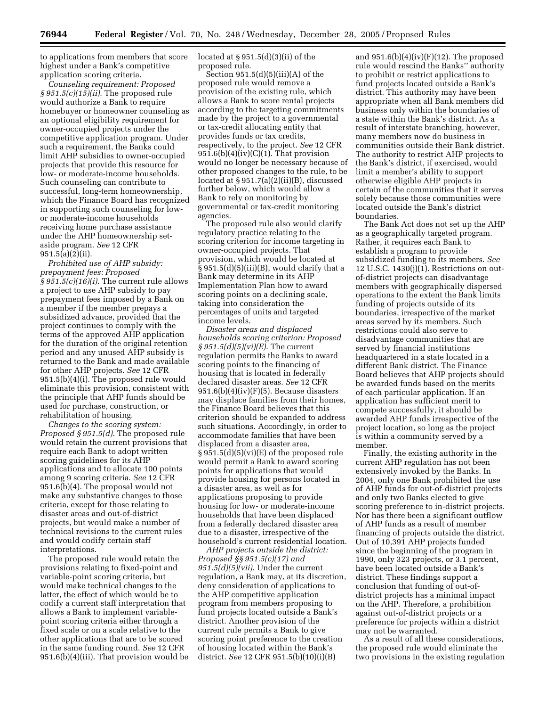to applications from members that score highest under a Bank's competitive application scoring criteria.

*Counseling requirement: Proposed § 951.5(c)(15)(ii)*. The proposed rule would authorize a Bank to require homebuyer or homeowner counseling as an optional eligibility requirement for owner-occupied projects under the competitive application program. Under such a requirement, the Banks could limit AHP subsidies to owner-occupied projects that provide this resource for low- or moderate-income households. Such counseling can contribute to successful, long-term homeownership, which the Finance Board has recognized in supporting such counseling for lowor moderate-income households receiving home purchase assistance under the AHP homeownership setaside program. *See* 12 CFR 951.5(a)(2)(ii).

*Prohibited use of AHP subsidy: prepayment fees: Proposed § 951.5(c)(16)(i)*. The current rule allows a project to use AHP subsidy to pay prepayment fees imposed by a Bank on a member if the member prepays a subsidized advance, provided that the project continues to comply with the terms of the approved AHP application for the duration of the original retention period and any unused AHP subsidy is returned to the Bank and made available for other AHP projects. *See* 12 CFR 951.5(b)(4)(i). The proposed rule would eliminate this provision, consistent with the principle that AHP funds should be used for purchase, construction, or rehabilitation of housing.

*Changes to the scoring system: Proposed § 951.5(d)*. The proposed rule would retain the current provisions that require each Bank to adopt written scoring guidelines for its AHP applications and to allocate 100 points among 9 scoring criteria. *See* 12 CFR 951.6(b)(4). The proposal would not make any substantive changes to those criteria, except for those relating to disaster areas and out-of-district projects, but would make a number of technical revisions to the current rules and would codify certain staff interpretations.

The proposed rule would retain the provisions relating to fixed-point and variable-point scoring criteria, but would make technical changes to the latter, the effect of which would be to codify a current staff interpretation that allows a Bank to implement variablepoint scoring criteria either through a fixed scale or on a scale relative to the other applications that are to be scored in the same funding round. *See* 12 CFR 951.6(b)(4)(iii). That provision would be located at  $\S 951.5(d)(3)(ii)$  of the proposed rule.

Section  $951.5(d)(5)(iii)(A)$  of the proposed rule would remove a provision of the existing rule, which allows a Bank to score rental projects according to the targeting commitments made by the project to a governmental or tax-credit allocating entity that provides funds or tax credits, respectively, to the project. *See* 12 CFR  $951.6(b)(4)(iv)(C)(1)$ . That provision would no longer be necessary because of other proposed changes to the rule, to be located at § 951.7(a)(2)(ii)(B), discussed further below, which would allow a Bank to rely on monitoring by governmental or tax-credit monitoring agencies.

The proposed rule also would clarify regulatory practice relating to the scoring criterion for income targeting in owner-occupied projects. That provision, which would be located at  $\S 951.5(d)(5)(iii)(B)$ , would clarify that a Bank may determine in its AHP Implementation Plan how to award scoring points on a declining scale, taking into consideration the percentages of units and targeted income levels.

*Disaster areas and displaced households scoring criterion: Proposed § 951.5(d)(5)(vi)(E)*. The current regulation permits the Banks to award scoring points to the financing of housing that is located in federally declared disaster areas. *See* 12 CFR  $951.6(b)(4)(iv)(F)(5)$ . Because disasters may displace families from their homes, the Finance Board believes that this criterion should be expanded to address such situations. Accordingly, in order to accommodate families that have been displaced from a disaster area, § 951.5(d)(5)(vi)(E) of the proposed rule would permit a Bank to award scoring points for applications that would provide housing for persons located in a disaster area, as well as for applications proposing to provide housing for low- or moderate-income households that have been displaced from a federally declared disaster area due to a disaster, irrespective of the household's current residential location.

*AHP projects outside the district: Proposed §§ 951.5(c)(17) and 951.5(d)(5)(vii)*. Under the current regulation, a Bank may, at its discretion, deny consideration of applications to the AHP competitive application program from members proposing to fund projects located outside a Bank's district. Another provision of the current rule permits a Bank to give scoring point preference to the creation of housing located within the Bank's district. *See* 12 CFR 951.5(b)(10)(i)(B)

and  $951.6(b)(4)(iv)(F)(12)$ . The proposed rule would rescind the Banks'' authority to prohibit or restrict applications to fund projects located outside a Bank's district. This authority may have been appropriate when all Bank members did business only within the boundaries of a state within the Bank's district. As a result of interstate branching, however, many members now do business in communities outside their Bank district. The authority to restrict AHP projects to the Bank's district, if exercised, would limit a member's ability to support otherwise eligible AHP projects in certain of the communities that it serves solely because those communities were located outside the Bank's district boundaries.

The Bank Act does not set up the AHP as a geographically targeted program. Rather, it requires each Bank to establish a program to provide subsidized funding to its members. *See*  12 U.S.C. 1430(j)(1). Restrictions on outof-district projects can disadvantage members with geographically dispersed operations to the extent the Bank limits funding of projects outside of its boundaries, irrespective of the market areas served by its members. Such restrictions could also serve to disadvantage communities that are served by financial institutions headquartered in a state located in a different Bank district. The Finance Board believes that AHP projects should be awarded funds based on the merits of each particular application. If an application has sufficient merit to compete successfully, it should be awarded AHP funds irrespective of the project location, so long as the project is within a community served by a member.

Finally, the existing authority in the current AHP regulation has not been extensively invoked by the Banks. In 2004, only one Bank prohibited the use of AHP funds for out-of-district projects and only two Banks elected to give scoring preference to in-district projects. Nor has there been a significant outflow of AHP funds as a result of member financing of projects outside the district. Out of 10,391 AHP projects funded since the beginning of the program in 1990, only 323 projects, or 3.1 percent, have been located outside a Bank's district. These findings support a conclusion that funding of out-ofdistrict projects has a minimal impact on the AHP. Therefore, a prohibition against out-of-district projects or a preference for projects within a district may not be warranted.

As a result of all these considerations, the proposed rule would eliminate the two provisions in the existing regulation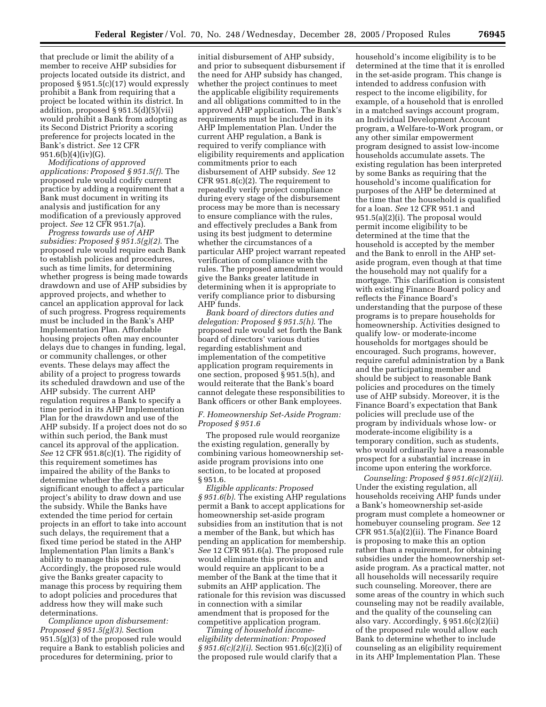that preclude or limit the ability of a member to receive AHP subsidies for projects located outside its district, and proposed § 951.5(c)(17) would expressly prohibit a Bank from requiring that a project be located within its district. In addition, proposed § 951.5(d)(5)(vii) would prohibit a Bank from adopting as its Second District Priority a scoring preference for projects located in the Bank's district. *See* 12 CFR  $951.6(b)(4)(iv)(G)$ .

*Modifications of approved applications: Proposed § 951.5(f)*. The proposed rule would codify current practice by adding a requirement that a Bank must document in writing its analysis and justification for any modification of a previously approved project. *See* 12 CFR 951.7(a).

*Progress towards use of AHP subsidies: Proposed § 951.5(g)(2)*. The proposed rule would require each Bank to establish policies and procedures, such as time limits, for determining whether progress is being made towards drawdown and use of AHP subsidies by approved projects, and whether to cancel an application approval for lack of such progress. Progress requirements must be included in the Bank's AHP Implementation Plan. Affordable housing projects often may encounter delays due to changes in funding, legal, or community challenges, or other events. These delays may affect the ability of a project to progress towards its scheduled drawdown and use of the AHP subsidy. The current AHP regulation requires a Bank to specify a time period in its AHP Implementation Plan for the drawdown and use of the AHP subsidy. If a project does not do so within such period, the Bank must cancel its approval of the application. *See* 12 CFR 951.8(c)(1). The rigidity of this requirement sometimes has impaired the ability of the Banks to determine whether the delays are significant enough to affect a particular project's ability to draw down and use the subsidy. While the Banks have extended the time period for certain projects in an effort to take into account such delays, the requirement that a fixed time period be stated in the AHP Implementation Plan limits a Bank's ability to manage this process. Accordingly, the proposed rule would give the Banks greater capacity to manage this process by requiring them to adopt policies and procedures that address how they will make such determinations.

*Compliance upon disbursement: Proposed § 951.5(g)(3)*. Section 951.5(g)(3) of the proposed rule would require a Bank to establish policies and procedures for determining, prior to

initial disbursement of AHP subsidy, and prior to subsequent disbursement if the need for AHP subsidy has changed, whether the project continues to meet the applicable eligibility requirements and all obligations committed to in the approved AHP application. The Bank's requirements must be included in its AHP Implementation Plan. Under the current AHP regulation, a Bank is required to verify compliance with eligibility requirements and application commitments prior to each disbursement of AHP subsidy. *See* 12 CFR 951.8(c)(2). The requirement to repeatedly verify project compliance during every stage of the disbursement process may be more than is necessary to ensure compliance with the rules, and effectively precludes a Bank from using its best judgment to determine whether the circumstances of a particular AHP project warrant repeated verification of compliance with the rules. The proposed amendment would give the Banks greater latitude in determining when it is appropriate to verify compliance prior to disbursing AHP funds.

*Bank board of directors duties and delegation: Proposed § 951.5(h)*. The proposed rule would set forth the Bank board of directors' various duties regarding establishment and implementation of the competitive application program requirements in one section, proposed § 951.5(h), and would reiterate that the Bank's board cannot delegate these responsibilities to Bank officers or other Bank employees.

#### *F. Homeownership Set-Aside Program: Proposed § 951.6*

The proposed rule would reorganize the existing regulation, generally by combining various homeownership setaside program provisions into one section, to be located at proposed § 951.6.

*Eligible applicants: Proposed § 951.6(b)*. The existing AHP regulations permit a Bank to accept applications for homeownership set-aside program subsidies from an institution that is not a member of the Bank, but which has pending an application for membership. *See* 12 CFR 951.6(a). The proposed rule would eliminate this provision and would require an applicant to be a member of the Bank at the time that it submits an AHP application. The rationale for this revision was discussed in connection with a similar amendment that is proposed for the competitive application program.

*Timing of household incomeeligibility determination: Proposed § 951.6(c)(2)(i)*. Section 951.6(c)(2)(i) of the proposed rule would clarify that a

household's income eligibility is to be determined at the time that it is enrolled in the set-aside program. This change is intended to address confusion with respect to the income eligibility, for example, of a household that is enrolled in a matched savings account program, an Individual Development Account program, a Welfare-to-Work program, or any other similar empowerment program designed to assist low-income households accumulate assets. The existing regulation has been interpreted by some Banks as requiring that the household's income qualification for purposes of the AHP be determined at the time that the household is qualified for a loan. *See* 12 CFR 951.1 and 951.5(a)(2)(i). The proposal would permit income eligibility to be determined at the time that the household is accepted by the member and the Bank to enroll in the AHP setaside program, even though at that time the household may not qualify for a mortgage. This clarification is consistent with existing Finance Board policy and reflects the Finance Board's understanding that the purpose of these programs is to prepare households for homeownership. Activities designed to qualify low- or moderate-income households for mortgages should be encouraged. Such programs, however, require careful administration by a Bank and the participating member and should be subject to reasonable Bank policies and procedures on the timely use of AHP subsidy. Moreover, it is the Finance Board's expectation that Bank policies will preclude use of the program by individuals whose low- or moderate-income eligibility is a temporary condition, such as students, who would ordinarily have a reasonable prospect for a substantial increase in income upon entering the workforce.

*Counseling: Proposed § 951.6(c)(2)(ii)*. Under the existing regulation, all households receiving AHP funds under a Bank's homeownership set-aside program must complete a homeowner or homebuyer counseling program. *See* 12 CFR 951.5(a)(2)(ii). The Finance Board is proposing to make this an option rather than a requirement, for obtaining subsidies under the homeownership setaside program. As a practical matter, not all households will necessarily require such counseling. Moreover, there are some areas of the country in which such counseling may not be readily available, and the quality of the counseling can also vary. Accordingly, § 951.6(c)(2)(ii) of the proposed rule would allow each Bank to determine whether to include counseling as an eligibility requirement in its AHP Implementation Plan. These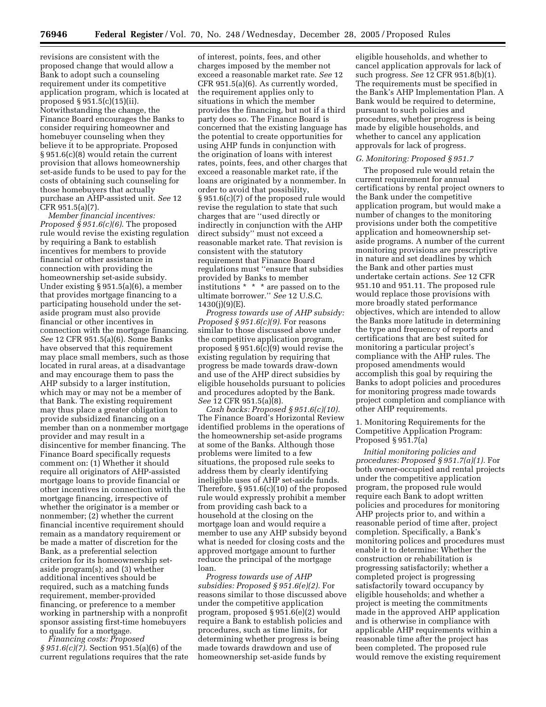revisions are consistent with the proposed change that would allow a Bank to adopt such a counseling requirement under its competitive application program, which is located at proposed § 951.5(c)(15)(ii). Notwithstanding the change, the Finance Board encourages the Banks to consider requiring homeowner and homebuyer counseling when they believe it to be appropriate. Proposed § 951.6(c)(8) would retain the current provision that allows homeownership set-aside funds to be used to pay for the costs of obtaining such counseling for those homebuyers that actually purchase an AHP-assisted unit. *See* 12 CFR 951.5(a)(7).

*Member financial incentives: Proposed § 951.6(c)(6)*. The proposed rule would revise the existing regulation by requiring a Bank to establish incentives for members to provide financial or other assistance in connection with providing the homeownership set-aside subsidy. Under existing § 951.5(a)(6), a member that provides mortgage financing to a participating household under the setaside program must also provide financial or other incentives in connection with the mortgage financing. *See* 12 CFR 951.5(a)(6). Some Banks have observed that this requirement may place small members, such as those located in rural areas, at a disadvantage and may encourage them to pass the AHP subsidy to a larger institution, which may or may not be a member of that Bank. The existing requirement may thus place a greater obligation to provide subsidized financing on a member than on a nonmember mortgage provider and may result in a disincentive for member financing. The Finance Board specifically requests comment on: (1) Whether it should require all originators of AHP-assisted mortgage loans to provide financial or other incentives in connection with the mortgage financing, irrespective of whether the originator is a member or nonmember; (2) whether the current financial incentive requirement should remain as a mandatory requirement or be made a matter of discretion for the Bank, as a preferential selection criterion for its homeownership setaside program(s); and (3) whether additional incentives should be required, such as a matching funds requirement, member-provided financing, or preference to a member working in partnership with a nonprofit sponsor assisting first-time homebuyers to qualify for a mortgage.

*Financing costs: Proposed § 951.6(c)(7)*. Section 951.5(a)(6) of the current regulations requires that the rate

of interest, points, fees, and other charges imposed by the member not exceed a reasonable market rate. *See* 12 CFR 951.5(a)(6). As currently worded, the requirement applies only to situations in which the member provides the financing, but not if a third party does so. The Finance Board is concerned that the existing language has the potential to create opportunities for using AHP funds in conjunction with the origination of loans with interest rates, points, fees, and other charges that exceed a reasonable market rate, if the loans are originated by a nonmember. In order to avoid that possibility, § 951.6(c)(7) of the proposed rule would revise the regulation to state that such charges that are ''used directly or indirectly in conjunction with the AHP direct subsidy'' must not exceed a reasonable market rate. That revision is consistent with the statutory requirement that Finance Board regulations must ''ensure that subsidies provided by Banks to member institutions \* \* \* are passed on to the ultimate borrower.'' *See* 12 U.S.C.  $1430(i)(9)(E)$ .

*Progress towards use of AHP subsidy: Proposed § 951.6(c)(9).* For reasons similar to those discussed above under the competitive application program, proposed § 951.6(c)(9) would revise the existing regulation by requiring that progress be made towards draw-down and use of the AHP direct subsidies by eligible households pursuant to policies and procedures adopted by the Bank. *See* 12 CFR 951.5(a)(8).

*Cash backs: Proposed § 951.6(c)(10).*  The Finance Board's Horizontal Review identified problems in the operations of the homeownership set-aside programs at some of the Banks. Although those problems were limited to a few situations, the proposed rule seeks to address them by clearly identifying ineligible uses of AHP set-aside funds. Therefore, § 951.6(c)(10) of the proposed rule would expressly prohibit a member from providing cash back to a household at the closing on the mortgage loan and would require a member to use any AHP subsidy beyond what is needed for closing costs and the approved mortgage amount to further reduce the principal of the mortgage loan.

*Progress towards use of AHP subsidies: Proposed § 951.6(e)(2).* For reasons similar to those discussed above under the competitive application program, proposed § 951.6(e)(2) would require a Bank to establish policies and procedures, such as time limits, for determining whether progress is being made towards drawdown and use of homeownership set-aside funds by

eligible households, and whether to cancel application approvals for lack of such progress. *See* 12 CFR 951.8(b)(1). The requirements must be specified in the Bank's AHP Implementation Plan. A Bank would be required to determine, pursuant to such policies and procedures, whether progress is being made by eligible households, and whether to cancel any application approvals for lack of progress.

#### *G. Monitoring: Proposed § 951.7*

The proposed rule would retain the current requirement for annual certifications by rental project owners to the Bank under the competitive application program, but would make a number of changes to the monitoring provisions under both the competitive application and homeownership setaside programs. A number of the current monitoring provisions are prescriptive in nature and set deadlines by which the Bank and other parties must undertake certain actions. *See* 12 CFR 951.10 and 951.11. The proposed rule would replace those provisions with more broadly stated performance objectives, which are intended to allow the Banks more latitude in determining the type and frequency of reports and certifications that are best suited for monitoring a particular project's compliance with the AHP rules. The proposed amendments would accomplish this goal by requiring the Banks to adopt policies and procedures for monitoring progress made towards project completion and compliance with other AHP requirements.

1. Monitoring Requirements for the Competitive Application Program: Proposed § 951.7(a)

*Initial monitoring policies and procedures: Proposed § 951.7(a)(1).* For both owner-occupied and rental projects under the competitive application program, the proposed rule would require each Bank to adopt written policies and procedures for monitoring AHP projects prior to, and within a reasonable period of time after, project completion. Specifically, a Bank's monitoring polices and procedures must enable it to determine: Whether the construction or rehabilitation is progressing satisfactorily; whether a completed project is progressing satisfactorily toward occupancy by eligible households; and whether a project is meeting the commitments made in the approved AHP application and is otherwise in compliance with applicable AHP requirements within a reasonable time after the project has been completed. The proposed rule would remove the existing requirement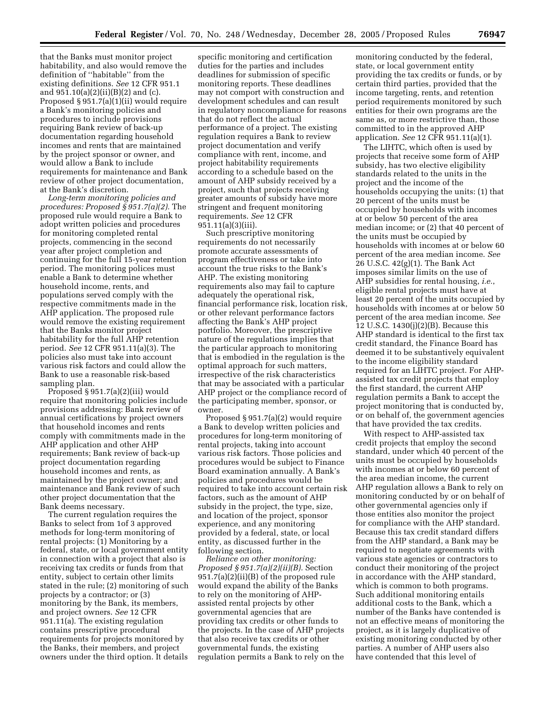that the Banks must monitor project habitability, and also would remove the definition of ''habitable'' from the existing definitions. *See* 12 CFR 951.1 and  $951.10(a)(2)(ii)(B)(2)$  and (c). Proposed § 951.7(a)(1)(ii) would require a Bank's monitoring policies and procedures to include provisions requiring Bank review of back-up documentation regarding household incomes and rents that are maintained by the project sponsor or owner, and would allow a Bank to include requirements for maintenance and Bank review of other project documentation, at the Bank's discretion.

*Long-term monitoring policies and procedures: Proposed § 951.7(a)(2).* The proposed rule would require a Bank to adopt written policies and procedures for monitoring completed rental projects, commencing in the second year after project completion and continuing for the full 15-year retention period. The monitoring polices must enable a Bank to determine whether household income, rents, and populations served comply with the respective commitments made in the AHP application. The proposed rule would remove the existing requirement that the Banks monitor project habitability for the full AHP retention period. *See* 12 CFR 951.11(a)(3). The policies also must take into account various risk factors and could allow the Bank to use a reasonable risk-based sampling plan.

Proposed § 951.7(a)(2)(iii) would require that monitoring policies include provisions addressing: Bank review of annual certifications by project owners that household incomes and rents comply with commitments made in the AHP application and other AHP requirements; Bank review of back-up project documentation regarding household incomes and rents, as maintained by the project owner; and maintenance and Bank review of such other project documentation that the Bank deems necessary.

The current regulation requires the Banks to select from 1of 3 approved methods for long-term monitoring of rental projects: (1) Monitoring by a federal, state, or local government entity in connection with a project that also is receiving tax credits or funds from that entity, subject to certain other limits stated in the rule; (2) monitoring of such projects by a contractor; or (3) monitoring by the Bank, its members, and project owners. *See* 12 CFR 951.11(a). The existing regulation contains prescriptive procedural requirements for projects monitored by the Banks, their members, and project owners under the third option. It details

specific monitoring and certification duties for the parties and includes deadlines for submission of specific monitoring reports. These deadlines may not comport with construction and development schedules and can result in regulatory noncompliance for reasons that do not reflect the actual performance of a project. The existing regulation requires a Bank to review project documentation and verify compliance with rent, income, and project habitability requirements according to a schedule based on the amount of AHP subsidy received by a project, such that projects receiving greater amounts of subsidy have more stringent and frequent monitoring requirements. *See* 12 CFR 951.11(a)(3)(iii).

Such prescriptive monitoring requirements do not necessarily promote accurate assessments of program effectiveness or take into account the true risks to the Bank's AHP. The existing monitoring requirements also may fail to capture adequately the operational risk, financial performance risk, location risk, or other relevant performance factors affecting the Bank's AHP project portfolio. Moreover, the prescriptive nature of the regulations implies that the particular approach to monitoring that is embodied in the regulation is the optimal approach for such matters, irrespective of the risk characteristics that may be associated with a particular AHP project or the compliance record of the participating member, sponsor, or owner.

Proposed § 951.7(a)(2) would require a Bank to develop written policies and procedures for long-term monitoring of rental projects, taking into account various risk factors. Those policies and procedures would be subject to Finance Board examination annually. A Bank's policies and procedures would be required to take into account certain risk factors, such as the amount of AHP subsidy in the project, the type, size, and location of the project, sponsor experience, and any monitoring provided by a federal, state, or local entity, as discussed further in the following section.

*Reliance on other monitoring: Proposed § 951.7(a)(2)(ii)(B).* Section 951.7(a)(2)(ii)(B) of the proposed rule would expand the ability of the Banks to rely on the monitoring of AHPassisted rental projects by other governmental agencies that are providing tax credits or other funds to the projects. In the case of AHP projects that also receive tax credits or other governmental funds, the existing regulation permits a Bank to rely on the

monitoring conducted by the federal, state, or local government entity providing the tax credits or funds, or by certain third parties, provided that the income targeting, rents, and retention period requirements monitored by such entities for their own programs are the same as, or more restrictive than, those committed to in the approved AHP application. *See* 12 CFR 951.11(a)(1).

The LIHTC, which often is used by projects that receive some form of AHP subsidy, has two elective eligibility standards related to the units in the project and the income of the households occupying the units: (1) that 20 percent of the units must be occupied by households with incomes at or below 50 percent of the area median income; or (2) that 40 percent of the units must be occupied by households with incomes at or below 60 percent of the area median income. *See*  26 U.S.C. 42(g)(1). The Bank Act imposes similar limits on the use of AHP subsidies for rental housing, *i.e.*, eligible rental projects must have at least 20 percent of the units occupied by households with incomes at or below 50 percent of the area median income. *See*  12 U.S.C. 1430(j)(2)(B). Because this AHP standard is identical to the first tax credit standard, the Finance Board has deemed it to be substantively equivalent to the income eligibility standard required for an LIHTC project. For AHPassisted tax credit projects that employ the first standard, the current AHP regulation permits a Bank to accept the project monitoring that is conducted by, or on behalf of, the government agencies that have provided the tax credits.

With respect to AHP-assisted tax credit projects that employ the second standard, under which 40 percent of the units must be occupied by households with incomes at or below 60 percent of the area median income, the current AHP regulation allows a Bank to rely on monitoring conducted by or on behalf of other governmental agencies only if those entities also monitor the project for compliance with the AHP standard. Because this tax credit standard differs from the AHP standard, a Bank may be required to negotiate agreements with various state agencies or contractors to conduct their monitoring of the project in accordance with the AHP standard, which is common to both programs. Such additional monitoring entails additional costs to the Bank, which a number of the Banks have contended is not an effective means of monitoring the project, as it is largely duplicative of existing monitoring conducted by other parties. A number of AHP users also have contended that this level of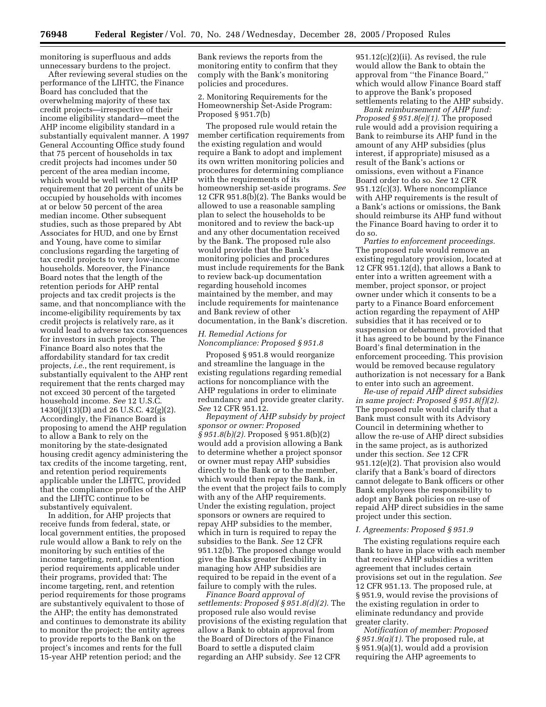monitoring is superfluous and adds unnecessary burdens to the project.

After reviewing several studies on the performance of the LIHTC, the Finance Board has concluded that the overwhelming majority of these tax credit projects—irrespective of their income eligibility standard—meet the AHP income eligibility standard in a substantially equivalent manner. A 1997 General Accounting Office study found that 75 percent of households in tax credit projects had incomes under 50 percent of the area median income, which would be well within the AHP requirement that 20 percent of units be occupied by households with incomes at or below 50 percent of the area median income. Other subsequent studies, such as those prepared by Abt Associates for HUD, and one by Ernst and Young, have come to similar conclusions regarding the targeting of tax credit projects to very low-income households. Moreover, the Finance Board notes that the length of the retention periods for AHP rental projects and tax credit projects is the same, and that noncompliance with the income-eligibility requirements by tax credit projects is relatively rare, as it would lead to adverse tax consequences for investors in such projects. The Finance Board also notes that the affordability standard for tax credit projects, *i.e.*, the rent requirement, is substantially equivalent to the AHP rent requirement that the rents charged may not exceed 30 percent of the targeted household income. *See* 12 U.S.C. 1430(j)(13)(D) and 26 U.S.C. 42(g)(2). Accordingly, the Finance Board is proposing to amend the AHP regulation to allow a Bank to rely on the monitoring by the state-designated housing credit agency administering the tax credits of the income targeting, rent, and retention period requirements applicable under the LIHTC, provided that the compliance profiles of the AHP and the LIHTC continue to be substantively equivalent.

In addition, for AHP projects that receive funds from federal, state, or local government entities, the proposed rule would allow a Bank to rely on the monitoring by such entities of the income targeting, rent, and retention period requirements applicable under their programs, provided that: The income targeting, rent, and retention period requirements for those programs are substantively equivalent to those of the AHP; the entity has demonstrated and continues to demonstrate its ability to monitor the project; the entity agrees to provide reports to the Bank on the project's incomes and rents for the full 15-year AHP retention period; and the

Bank reviews the reports from the monitoring entity to confirm that they comply with the Bank's monitoring policies and procedures.

#### 2. Monitoring Requirements for the Homeownership Set-Aside Program: Proposed § 951.7(b)

The proposed rule would retain the member certification requirements from the existing regulation and would require a Bank to adopt and implement its own written monitoring policies and procedures for determining compliance with the requirements of its homeownership set-aside programs. *See*  12 CFR 951.8(b)(2). The Banks would be allowed to use a reasonable sampling plan to select the households to be monitored and to review the back-up and any other documentation received by the Bank. The proposed rule also would provide that the Bank's monitoring policies and procedures must include requirements for the Bank to review back-up documentation regarding household incomes maintained by the member, and may include requirements for maintenance and Bank review of other documentation, in the Bank's discretion.

# *H. Remedial Actions for Noncompliance: Proposed § 951.8*

Proposed § 951.8 would reorganize and streamline the language in the existing regulations regarding remedial actions for noncompliance with the AHP regulations in order to eliminate redundancy and provide greater clarity. *See* 12 CFR 951.12.

*Repayment of AHP subsidy by project sponsor or owner: Proposed § 951.8(b)(2).* Proposed § 951.8(b)(2) would add a provision allowing a Bank to determine whether a project sponsor or owner must repay AHP subsidies directly to the Bank or to the member, which would then repay the Bank, in the event that the project fails to comply with any of the AHP requirements. Under the existing regulation, project sponsors or owners are required to repay AHP subsidies to the member, which in turn is required to repay the subsidies to the Bank. *See* 12 CFR 951.12(b). The proposed change would give the Banks greater flexibility in managing how AHP subsidies are required to be repaid in the event of a failure to comply with the rules.

*Finance Board approval of settlements: Proposed § 951.8(d)(2).* The proposed rule also would revise provisions of the existing regulation that allow a Bank to obtain approval from the Board of Directors of the Finance Board to settle a disputed claim regarding an AHP subsidy. *See* 12 CFR

 $951.12(c)(2)(ii)$ . As revised, the rule would allow the Bank to obtain the approval from ''the Finance Board,'' which would allow Finance Board staff to approve the Bank's proposed settlements relating to the AHP subsidy.

*Bank reimbursement of AHP fund: Proposed § 951.8(e)(1).* The proposed rule would add a provision requiring a Bank to reimburse its AHP fund in the amount of any AHP subsidies (plus interest, if appropriate) misused as a result of the Bank's actions or omissions, even without a Finance Board order to do so. *See* 12 CFR 951.12(c)(3). Where noncompliance with AHP requirements is the result of a Bank's actions or omissions, the Bank should reimburse its AHP fund without the Finance Board having to order it to do so.

*Parties to enforcement proceedings.*  The proposed rule would remove an existing regulatory provision, located at 12 CFR 951.12(d), that allows a Bank to enter into a written agreement with a member, project sponsor, or project owner under which it consents to be a party to a Finance Board enforcement action regarding the repayment of AHP subsidies that it has received or to suspension or debarment, provided that it has agreed to be bound by the Finance Board's final determination in the enforcement proceeding. This provision would be removed because regulatory authorization is not necessary for a Bank to enter into such an agreement.

*Re-use of repaid AHP direct subsidies in same project: Proposed § 951.8(f)(2).*  The proposed rule would clarify that a Bank must consult with its Advisory Council in determining whether to allow the re-use of AHP direct subsidies in the same project, as is authorized under this section. *See* 12 CFR 951.12(e)(2). That provision also would clarify that a Bank's board of directors cannot delegate to Bank officers or other Bank employees the responsibility to adopt any Bank policies on re-use of repaid AHP direct subsidies in the same project under this section.

### *I. Agreements: Proposed § 951.9*

The existing regulations require each Bank to have in place with each member that receives AHP subsidies a written agreement that includes certain provisions set out in the regulation. *See*  12 CFR 951.13. The proposed rule, at § 951.9, would revise the provisions of the existing regulation in order to eliminate redundancy and provide greater clarity.

*Notification of member: Proposed § 951.9(a)(1).* The proposed rule, at § 951.9(a)(1), would add a provision requiring the AHP agreements to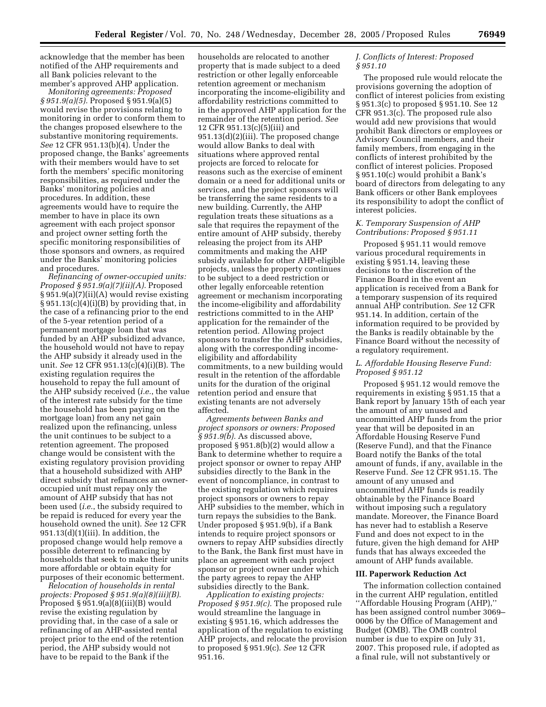acknowledge that the member has been notified of the AHP requirements and all Bank policies relevant to the member's approved AHP application.

*Monitoring agreements: Proposed § 951.9(a)(5).* Proposed § 951.9(a)(5) would revise the provisions relating to monitoring in order to conform them to the changes proposed elsewhere to the substantive monitoring requirements. *See* 12 CFR 951.13(b)(4). Under the proposed change, the Banks' agreements with their members would have to set forth the members' specific monitoring responsibilities, as required under the Banks' monitoring policies and procedures. In addition, these agreements would have to require the member to have in place its own agreement with each project sponsor and project owner setting forth the specific monitoring responsibilities of those sponsors and owners, as required under the Banks' monitoring policies and procedures.

*Refinancing of owner-occupied units: Proposed § 951.9(a)(7)(ii)(A).* Proposed § 951.9(a)(7)(ii)(A) would revise existing  $§ 951.13(c)(4)(i)(B)$  by providing that, in the case of a refinancing prior to the end of the 5-year retention period of a permanent mortgage loan that was funded by an AHP subsidized advance, the household would not have to repay the AHP subsidy it already used in the unit. *See* 12 CFR 951.13(c)(4)(i)(B). The existing regulation requires the household to repay the full amount of the AHP subsidy received (*i.e.*, the value of the interest rate subsidy for the time the household has been paying on the mortgage loan) from any net gain realized upon the refinancing, unless the unit continues to be subject to a retention agreement. The proposed change would be consistent with the existing regulatory provision providing that a household subsidized with AHP direct subsidy that refinances an owneroccupied unit must repay only the amount of AHP subsidy that has not been used (*i.e.*, the subsidy required to be repaid is reduced for every year the household owned the unit). *See* 12 CFR  $951.13(d)(1)(iii)$ . In addition, the proposed change would help remove a possible deterrent to refinancing by households that seek to make their units more affordable or obtain equity for purposes of their economic betterment.

*Relocation of households in rental projects: Proposed § 951.9(a)(8)(iii)(B).*  Proposed  $§$  951.9(a)(8)(iii)(B) would revise the existing regulation by providing that, in the case of a sale or refinancing of an AHP-assisted rental project prior to the end of the retention period, the AHP subsidy would not have to be repaid to the Bank if the

households are relocated to another property that is made subject to a deed restriction or other legally enforceable retention agreement or mechanism incorporating the income-eligibility and affordability restrictions committed to in the approved AHP application for the remainder of the retention period. *See*  12 CFR 951.13(c)(5)(iii) and 951.13(d)(2)(iii). The proposed change would allow Banks to deal with situations where approved rental projects are forced to relocate for reasons such as the exercise of eminent domain or a need for additional units or services, and the project sponsors will be transferring the same residents to a new building. Currently, the AHP regulation treats these situations as a sale that requires the repayment of the entire amount of AHP subsidy, thereby releasing the project from its AHP commitments and making the AHP subsidy available for other AHP-eligible projects, unless the property continues to be subject to a deed restriction or other legally enforceable retention agreement or mechanism incorporating the income-eligibility and affordability restrictions committed to in the AHP application for the remainder of the retention period. Allowing project sponsors to transfer the AHP subsidies, along with the corresponding incomeeligibility and affordability commitments, to a new building would result in the retention of the affordable units for the duration of the original retention period and ensure that existing tenants are not adversely affected.

*Agreements between Banks and project sponsors or owners: Proposed § 951.9(b).* As discussed above, proposed § 951.8(b)(2) would allow a Bank to determine whether to require a project sponsor or owner to repay AHP subsidies directly to the Bank in the event of noncompliance, in contrast to the existing regulation which requires project sponsors or owners to repay AHP subsidies to the member, which in turn repays the subsidies to the Bank. Under proposed § 951.9(b), if a Bank intends to require project sponsors or owners to repay AHP subsidies directly to the Bank, the Bank first must have in place an agreement with each project sponsor or project owner under which the party agrees to repay the AHP subsidies directly to the Bank.

*Application to existing projects: Proposed § 951.9(c).* The proposed rule would streamline the language in existing § 951.16, which addresses the application of the regulation to existing AHP projects, and relocate the provision to proposed § 951.9(c). *See* 12 CFR 951.16.

# *J. Conflicts of Interest: Proposed § 951.10*

The proposed rule would relocate the provisions governing the adoption of conflict of interest policies from existing § 951.3(c) to proposed § 951.10. See 12 CFR 951.3(c). The proposed rule also would add new provisions that would prohibit Bank directors or employees or Advisory Council members, and their family members, from engaging in the conflicts of interest prohibited by the conflict of interest policies. Proposed § 951.10(c) would prohibit a Bank's board of directors from delegating to any Bank officers or other Bank employees its responsibility to adopt the conflict of interest policies.

#### *K. Temporary Suspension of AHP Contributions: Proposed § 951.11*

Proposed § 951.11 would remove various procedural requirements in existing § 951.14, leaving these decisions to the discretion of the Finance Board in the event an application is received from a Bank for a temporary suspension of its required annual AHP contribution. *See* 12 CFR 951.14. In addition, certain of the information required to be provided by the Banks is readily obtainable by the Finance Board without the necessity of a regulatory requirement.

# *L. Affordable Housing Reserve Fund: Proposed § 951.12*

Proposed § 951.12 would remove the requirements in existing § 951.15 that a Bank report by January 15th of each year the amount of any unused and uncommitted AHP funds from the prior year that will be deposited in an Affordable Housing Reserve Fund (Reserve Fund), and that the Finance Board notify the Banks of the total amount of funds, if any, available in the Reserve Fund. *See* 12 CFR 951.15. The amount of any unused and uncommitted AHP funds is readily obtainable by the Finance Board without imposing such a regulatory mandate. Moreover, the Finance Board has never had to establish a Reserve Fund and does not expect to in the future, given the high demand for AHP funds that has always exceeded the amount of AHP funds available.

# **III. Paperwork Reduction Act**

The information collection contained in the current AHP regulation, entitled ''Affordable Housing Program (AHP),'' has been assigned control number 3069– 0006 by the Office of Management and Budget (OMB). The OMB control number is due to expire on July 31, 2007. This proposed rule, if adopted as a final rule, will not substantively or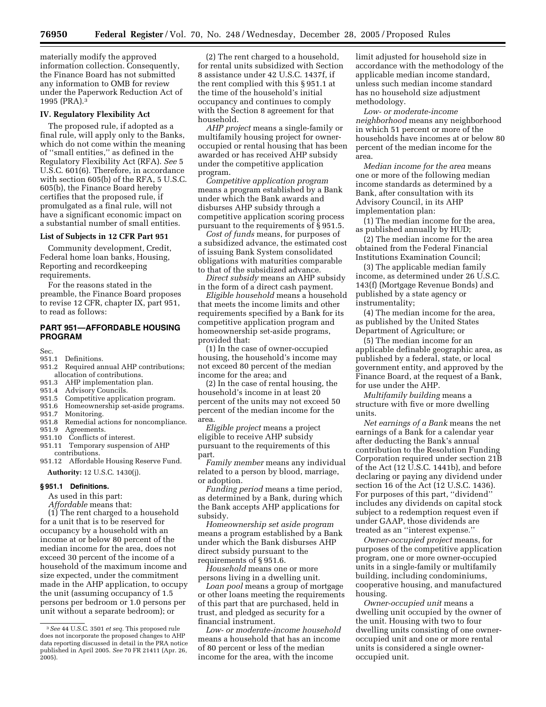materially modify the approved information collection. Consequently, the Finance Board has not submitted any information to OMB for review under the Paperwork Reduction Act of 1995 (PRA).3

#### **IV. Regulatory Flexibility Act**

The proposed rule, if adopted as a final rule, will apply only to the Banks, which do not come within the meaning of ''small entities,'' as defined in the Regulatory Flexibility Act (RFA). *See* 5 U.S.C. 601(6). Therefore, in accordance with section 605(b) of the RFA, 5 U.S.C. 605(b), the Finance Board hereby certifies that the proposed rule, if promulgated as a final rule, will not have a significant economic impact on a substantial number of small entities.

#### **List of Subjects in 12 CFR Part 951**

Community development, Credit, Federal home loan banks, Housing, Reporting and recordkeeping requirements.

For the reasons stated in the preamble, the Finance Board proposes to revise 12 CFR, chapter IX, part 951, to read as follows:

# **PART 951—AFFORDABLE HOUSING PROGRAM**

Sec.

#### 951.1 Definitions.

- 951.2 Required annual AHP contributions; allocation of contributions.
- 951.3 AHP implementation plan.
- 951.4 Advisory Councils.
- 951.5 Competitive application program.
- 951.6 Homeownership set-aside programs.
- 951.7 Monitoring.
- 951.8 Remedial actions for noncompliance.<br>951.9 Agreements. Agreements.
- 951.10 Conflicts of interest.
- 951.11 Temporary suspension of AHP contributions.
- 951.12 Affordable Housing Reserve Fund. **Authority:** 12 U.S.C. 1430(j).

#### **§ 951.1 Definitions.**

As used in this part:

*Affordable* means that:

(1) The rent charged to a household for a unit that is to be reserved for occupancy by a household with an income at or below 80 percent of the median income for the area, does not exceed 30 percent of the income of a household of the maximum income and size expected, under the commitment made in the AHP application, to occupy the unit (assuming occupancy of 1.5 persons per bedroom or 1.0 persons per unit without a separate bedroom); or

(2) The rent charged to a household, for rental units subsidized with Section 8 assistance under 42 U.S.C. 1437f, if the rent complied with this § 951.1 at the time of the household's initial occupancy and continues to comply with the Section 8 agreement for that household.

*AHP project* means a single-family or multifamily housing project for owneroccupied or rental housing that has been awarded or has received AHP subsidy under the competitive application program.

*Competitive application program*  means a program established by a Bank under which the Bank awards and disburses AHP subsidy through a competitive application scoring process pursuant to the requirements of § 951.5.

*Cost of funds* means, for purposes of a subsidized advance, the estimated cost of issuing Bank System consolidated obligations with maturities comparable to that of the subsidized advance.

*Direct subsidy* means an AHP subsidy in the form of a direct cash payment.

*Eligible household* means a household that meets the income limits and other requirements specified by a Bank for its competitive application program and homeownership set-aside programs, provided that:

(1) In the case of owner-occupied housing, the household's income may not exceed 80 percent of the median income for the area; and

(2) In the case of rental housing, the household's income in at least 20 percent of the units may not exceed 50 percent of the median income for the area.

*Eligible project* means a project eligible to receive AHP subsidy pursuant to the requirements of this part.

*Family member* means any individual related to a person by blood, marriage, or adoption.

*Funding period* means a time period, as determined by a Bank, during which the Bank accepts AHP applications for subsidy.

*Homeownership set aside program*  means a program established by a Bank under which the Bank disburses AHP direct subsidy pursuant to the requirements of § 951.6.

*Household* means one or more persons living in a dwelling unit.

*Loan pool* means a group of mortgage or other loans meeting the requirements of this part that are purchased, held in trust, and pledged as security for a financial instrument.

*Low- or moderate-income household*  means a household that has an income of 80 percent or less of the median income for the area, with the income

limit adjusted for household size in accordance with the methodology of the applicable median income standard, unless such median income standard has no household size adjustment methodology.

*Low- or moderate-income neighborhood* means any neighborhood in which 51 percent or more of the households have incomes at or below 80 percent of the median income for the area.

*Median income for the area* means one or more of the following median income standards as determined by a Bank, after consultation with its Advisory Council, in its AHP implementation plan:

(1) The median income for the area, as published annually by HUD;

(2) The median income for the area obtained from the Federal Financial Institutions Examination Council;

(3) The applicable median family income, as determined under 26 U.S.C. 143(f) (Mortgage Revenue Bonds) and published by a state agency or instrumentality;

(4) The median income for the area, as published by the United States Department of Agriculture; or

(5) The median income for an applicable definable geographic area, as published by a federal, state, or local government entity, and approved by the Finance Board, at the request of a Bank, for use under the AHP.

*Multifamily building* means a structure with five or more dwelling units.

*Net earnings of a Bank* means the net earnings of a Bank for a calendar year after deducting the Bank's annual contribution to the Resolution Funding Corporation required under section 21B of the Act (12 U.S.C. 1441b), and before declaring or paying any dividend under section 16 of the Act (12 U.S.C. 1436). For purposes of this part, ''dividend'' includes any dividends on capital stock subject to a redemption request even if under GAAP, those dividends are treated as an ''interest expense.''

*Owner-occupied project* means, for purposes of the competitive application program, one or more owner-occupied units in a single-family or multifamily building, including condominiums, cooperative housing, and manufactured housing.

*Owner-occupied unit* means a dwelling unit occupied by the owner of the unit. Housing with two to four dwelling units consisting of one owneroccupied unit and one or more rental units is considered a single owneroccupied unit.

<sup>3</sup>*See* 44 U.S.C. 3501 *et seq.* This proposed rule does not incorporate the proposed changes to AHP data reporting discussed in detail in the PRA notice published in April 2005. *See* 70 FR 21411 (Apr. 26,  $2005$ ).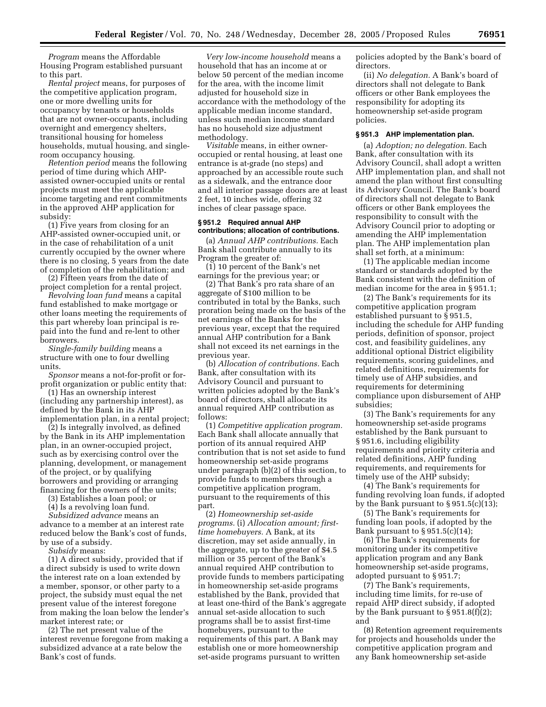*Program* means the Affordable Housing Program established pursuant to this part.

*Rental project* means, for purposes of the competitive application program, one or more dwelling units for occupancy by tenants or households that are not owner-occupants, including overnight and emergency shelters, transitional housing for homeless households, mutual housing, and singleroom occupancy housing.

*Retention period* means the following period of time during which AHPassisted owner-occupied units or rental projects must meet the applicable income targeting and rent commitments in the approved AHP application for subsidy:

(1) Five years from closing for an AHP-assisted owner-occupied unit, or in the case of rehabilitation of a unit currently occupied by the owner where there is no closing, 5 years from the date of completion of the rehabilitation; and

(2) Fifteen years from the date of project completion for a rental project.

*Revolving loan fund* means a capital fund established to make mortgage or other loans meeting the requirements of this part whereby loan principal is repaid into the fund and re-lent to other borrowers.

*Single-family building* means a structure with one to four dwelling units.

*Sponsor* means a not-for-profit or forprofit organization or public entity that:

(1) Has an ownership interest (including any partnership interest), as defined by the Bank in its AHP implementation plan, in a rental project;

(2) Is integrally involved, as defined by the Bank in its AHP implementation plan, in an owner-occupied project, such as by exercising control over the planning, development, or management of the project, or by qualifying borrowers and providing or arranging financing for the owners of the units;

(3) Establishes a loan pool; or

(4) Is a revolving loan fund.

*Subsidized advance* means an advance to a member at an interest rate reduced below the Bank's cost of funds, by use of a subsidy.

*Subsidy* means:

(1) A direct subsidy, provided that if a direct subsidy is used to write down the interest rate on a loan extended by a member, sponsor, or other party to a project, the subsidy must equal the net present value of the interest foregone from making the loan below the lender's market interest rate; or

(2) The net present value of the interest revenue foregone from making a subsidized advance at a rate below the Bank's cost of funds.

*Very low-income household* means a household that has an income at or below 50 percent of the median income for the area, with the income limit adjusted for household size in accordance with the methodology of the applicable median income standard, unless such median income standard has no household size adjustment methodology.

*Visitable* means, in either owneroccupied or rental housing, at least one entrance is at-grade (no steps) and approached by an accessible route such as a sidewalk, and the entrance door and all interior passage doors are at least 2 feet, 10 inches wide, offering 32 inches of clear passage space.

#### **§ 951.2 Required annual AHP contributions; allocation of contributions.**

(a) *Annual AHP contributions.* Each Bank shall contribute annually to its Program the greater of:

(1) 10 percent of the Bank's net earnings for the previous year; or

(2) That Bank's pro rata share of an aggregate of \$100 million to be contributed in total by the Banks, such proration being made on the basis of the net earnings of the Banks for the previous year, except that the required annual AHP contribution for a Bank shall not exceed its net earnings in the previous year.

(b) *Allocation of contributions.* Each Bank, after consultation with its Advisory Council and pursuant to written policies adopted by the Bank's board of directors, shall allocate its annual required AHP contribution as follows:

(1) *Competitive application program.*  Each Bank shall allocate annually that portion of its annual required AHP contribution that is not set aside to fund homeownership set-aside programs under paragraph (b)(2) of this section, to provide funds to members through a competitive application program, pursuant to the requirements of this part.

(2) *Homeownership set-aside programs.* (i) *Allocation amount; firsttime homebuyers.* A Bank, at its discretion, may set aside annually, in the aggregate, up to the greater of \$4.5 million or 35 percent of the Bank's annual required AHP contribution to provide funds to members participating in homeownership set-aside programs established by the Bank, provided that at least one-third of the Bank's aggregate annual set-aside allocation to such programs shall be to assist first-time homebuyers, pursuant to the requirements of this part. A Bank may establish one or more homeownership set-aside programs pursuant to written

policies adopted by the Bank's board of directors.

(ii) *No delegation.* A Bank's board of directors shall not delegate to Bank officers or other Bank employees the responsibility for adopting its homeownership set-aside program policies.

### **§ 951.3 AHP implementation plan.**

(a) *Adoption; no delegation.* Each Bank, after consultation with its Advisory Council, shall adopt a written AHP implementation plan, and shall not amend the plan without first consulting its Advisory Council. The Bank's board of directors shall not delegate to Bank officers or other Bank employees the responsibility to consult with the Advisory Council prior to adopting or amending the AHP implementation plan. The AHP implementation plan shall set forth, at a minimum:

(1) The applicable median income standard or standards adopted by the Bank consistent with the definition of median income for the area in § 951.1;

(2) The Bank's requirements for its competitive application program established pursuant to § 951.5, including the schedule for AHP funding periods, definition of sponsor, project cost, and feasibility guidelines, any additional optional District eligibility requirements, scoring guidelines, and related definitions, requirements for timely use of AHP subsidies, and requirements for determining compliance upon disbursement of AHP subsidies;

(3) The Bank's requirements for any homeownership set-aside programs established by the Bank pursuant to § 951.6, including eligibility requirements and priority criteria and related definitions, AHP funding requirements, and requirements for timely use of the AHP subsidy;

(4) The Bank's requirements for funding revolving loan funds, if adopted by the Bank pursuant to  $\S 951.5(c)(13)$ ;

(5) The Bank's requirements for funding loan pools, if adopted by the Bank pursuant to  $\S 951.5(c)(14);$ 

(6) The Bank's requirements for monitoring under its competitive application program and any Bank homeownership set-aside programs, adopted pursuant to § 951.7;

(7) The Bank's requirements, including time limits, for re-use of repaid AHP direct subsidy, if adopted by the Bank pursuant to  $\S 951.8(f)(2)$ ; and

(8) Retention agreement requirements for projects and households under the competitive application program and any Bank homeownership set-aside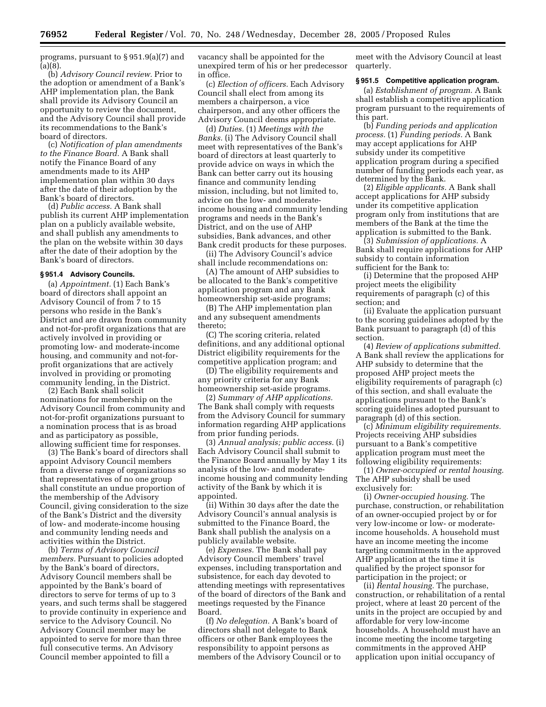programs, pursuant to § 951.9(a)(7) and (a)(8).

(b) *Advisory Council review.* Prior to the adoption or amendment of a Bank's AHP implementation plan, the Bank shall provide its Advisory Council an opportunity to review the document, and the Advisory Council shall provide its recommendations to the Bank's board of directors.

(c) *Notification of plan amendments to the Finance Board.* A Bank shall notify the Finance Board of any amendments made to its AHP implementation plan within 30 days after the date of their adoption by the Bank's board of directors.

(d) *Public access.* A Bank shall publish its current AHP implementation plan on a publicly available website, and shall publish any amendments to the plan on the website within 30 days after the date of their adoption by the Bank's board of directors.

#### **§ 951.4 Advisory Councils.**

(a) *Appointment.* (1) Each Bank's board of directors shall appoint an Advisory Council of from 7 to 15 persons who reside in the Bank's District and are drawn from community and not-for-profit organizations that are actively involved in providing or promoting low- and moderate-income housing, and community and not-forprofit organizations that are actively involved in providing or promoting community lending, in the District.

(2) Each Bank shall solicit nominations for membership on the Advisory Council from community and not-for-profit organizations pursuant to a nomination process that is as broad and as participatory as possible, allowing sufficient time for responses.

(3) The Bank's board of directors shall appoint Advisory Council members from a diverse range of organizations so that representatives of no one group shall constitute an undue proportion of the membership of the Advisory Council, giving consideration to the size of the Bank's District and the diversity of low- and moderate-income housing and community lending needs and activities within the District.

(b) *Terms of Advisory Council members.* Pursuant to policies adopted by the Bank's board of directors, Advisory Council members shall be appointed by the Bank's board of directors to serve for terms of up to 3 years, and such terms shall be staggered to provide continuity in experience and service to the Advisory Council. No Advisory Council member may be appointed to serve for more than three full consecutive terms. An Advisory Council member appointed to fill a

vacancy shall be appointed for the unexpired term of his or her predecessor in office.

(c) *Election of officers.* Each Advisory Council shall elect from among its members a chairperson, a vice chairperson, and any other officers the Advisory Council deems appropriate.

(d) *Duties.* (1) *Meetings with the Banks.* (i) The Advisory Council shall meet with representatives of the Bank's board of directors at least quarterly to provide advice on ways in which the Bank can better carry out its housing finance and community lending mission, including, but not limited to, advice on the low- and moderateincome housing and community lending programs and needs in the Bank's District, and on the use of AHP subsidies, Bank advances, and other Bank credit products for these purposes.

(ii) The Advisory Council's advice shall include recommendations on:

(A) The amount of AHP subsidies to be allocated to the Bank's competitive application program and any Bank homeownership set-aside programs;

(B) The AHP implementation plan and any subsequent amendments thereto;

(C) The scoring criteria, related definitions, and any additional optional District eligibility requirements for the competitive application program; and

(D) The eligibility requirements and any priority criteria for any Bank homeownership set-aside programs.

(2) *Summary of AHP applications.*  The Bank shall comply with requests from the Advisory Council for summary information regarding AHP applications from prior funding periods.

(3) *Annual analysis; public access.* (i) Each Advisory Council shall submit to the Finance Board annually by May 1 its analysis of the low- and moderateincome housing and community lending activity of the Bank by which it is appointed.

(ii) Within 30 days after the date the Advisory Council's annual analysis is submitted to the Finance Board, the Bank shall publish the analysis on a publicly available website.

(e) *Expenses.* The Bank shall pay Advisory Council members' travel expenses, including transportation and subsistence, for each day devoted to attending meetings with representatives of the board of directors of the Bank and meetings requested by the Finance Board.

(f) *No delegation.* A Bank's board of directors shall not delegate to Bank officers or other Bank employees the responsibility to appoint persons as members of the Advisory Council or to

meet with the Advisory Council at least quarterly.

#### **§ 951.5 Competitive application program.**

(a) *Establishment of program.* A Bank shall establish a competitive application program pursuant to the requirements of this part.

(b) *Funding periods and application process.* (1) *Funding periods.* A Bank may accept applications for AHP subsidy under its competitive application program during a specified number of funding periods each year, as determined by the Bank.

(2) *Eligible applicants.* A Bank shall accept applications for AHP subsidy under its competitive application program only from institutions that are members of the Bank at the time the application is submitted to the Bank.

(3) *Submission of applications.* A Bank shall require applications for AHP subsidy to contain information sufficient for the Bank to:

(i) Determine that the proposed AHP project meets the eligibility requirements of paragraph (c) of this section; and

(ii) Evaluate the application pursuant to the scoring guidelines adopted by the Bank pursuant to paragraph (d) of this section.

(4) *Review of applications submitted.*  A Bank shall review the applications for AHP subsidy to determine that the proposed AHP project meets the eligibility requirements of paragraph (c) of this section, and shall evaluate the applications pursuant to the Bank's scoring guidelines adopted pursuant to paragraph (d) of this section.

(c) *Minimum eligibility requirements.*  Projects receiving AHP subsidies pursuant to a Bank's competitive application program must meet the following eligibility requirements:

(1) *Owner-occupied or rental housing.*  The AHP subsidy shall be used exclusively for:

(i) *Owner-occupied housing.* The purchase, construction, or rehabilitation of an owner-occupied project by or for very low-income or low- or moderateincome households. A household must have an income meeting the income targeting commitments in the approved AHP application at the time it is qualified by the project sponsor for participation in the project; or

(ii) *Rental housing.* The purchase, construction, or rehabilitation of a rental project, where at least 20 percent of the units in the project are occupied by and affordable for very low-income households. A household must have an income meeting the income targeting commitments in the approved AHP application upon initial occupancy of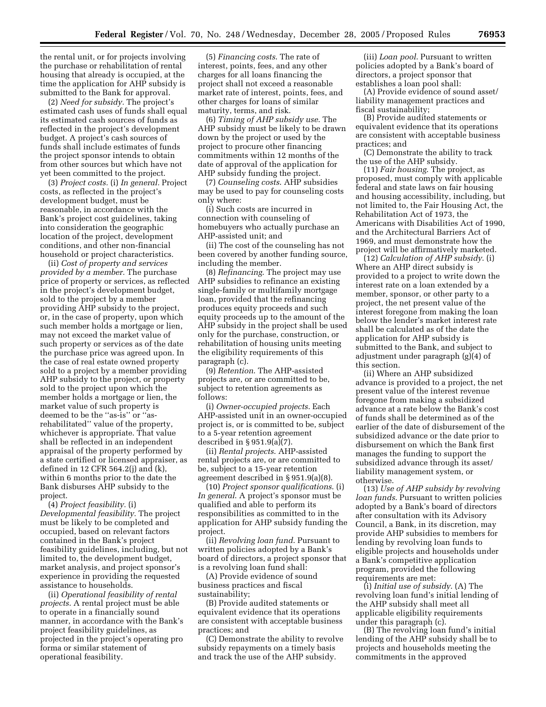the rental unit, or for projects involving the purchase or rehabilitation of rental housing that already is occupied, at the time the application for AHP subsidy is submitted to the Bank for approval.

(2) *Need for subsidy.* The project's estimated cash uses of funds shall equal its estimated cash sources of funds as reflected in the project's development budget. A project's cash sources of funds shall include estimates of funds the project sponsor intends to obtain from other sources but which have not yet been committed to the project.

(3) *Project costs.* (i) *In general.* Project costs, as reflected in the project's development budget, must be reasonable, in accordance with the Bank's project cost guidelines, taking into consideration the geographic location of the project, development conditions, and other non-financial household or project characteristics.

(ii) *Cost of property and services provided by a member.* The purchase price of property or services, as reflected in the project's development budget, sold to the project by a member providing AHP subsidy to the project, or, in the case of property, upon which such member holds a mortgage or lien, may not exceed the market value of such property or services as of the date the purchase price was agreed upon. In the case of real estate owned property sold to a project by a member providing AHP subsidy to the project, or property sold to the project upon which the member holds a mortgage or lien, the market value of such property is deemed to be the ''as-is'' or ''asrehabilitated'' value of the property, whichever is appropriate. That value shall be reflected in an independent appraisal of the property performed by a state certified or licensed appraiser, as defined in 12 CFR 564.2(j) and (k), within 6 months prior to the date the Bank disburses AHP subsidy to the project.

(4) *Project feasibility.* (i) *Developmental feasibility.* The project must be likely to be completed and occupied, based on relevant factors contained in the Bank's project feasibility guidelines, including, but not limited to, the development budget, market analysis, and project sponsor's experience in providing the requested assistance to households.

(ii) *Operational feasibility of rental projects*. A rental project must be able to operate in a financially sound manner, in accordance with the Bank's project feasibility guidelines, as projected in the project's operating pro forma or similar statement of operational feasibility.

(5) *Financing costs*. The rate of interest, points, fees, and any other charges for all loans financing the project shall not exceed a reasonable market rate of interest, points, fees, and other charges for loans of similar maturity, terms, and risk.

(6) *Timing of AHP subsidy use*. The AHP subsidy must be likely to be drawn down by the project or used by the project to procure other financing commitments within 12 months of the date of approval of the application for AHP subsidy funding the project.

(7) *Counseling costs*. AHP subsidies may be used to pay for counseling costs only where:

(i) Such costs are incurred in connection with counseling of homebuyers who actually purchase an AHP-assisted unit; and

(ii) The cost of the counseling has not been covered by another funding source, including the member.

(8) *Refinancing*. The project may use AHP subsidies to refinance an existing single-family or multifamily mortgage loan, provided that the refinancing produces equity proceeds and such equity proceeds up to the amount of the AHP subsidy in the project shall be used only for the purchase, construction, or rehabilitation of housing units meeting the eligibility requirements of this paragraph (c).

(9) *Retention*. The AHP-assisted projects are, or are committed to be, subject to retention agreements as follows:

(i) *Owner-occupied projects*. Each AHP-assisted unit in an owner-occupied project is, or is committed to be, subject to a 5-year retention agreement described in § 951.9(a)(7).

(ii) *Rental projects*. AHP-assisted rental projects are, or are committed to be, subject to a 15-year retention agreement described in § 951.9(a)(8).

(10) *Project sponsor qualifications*. (i) *In general*. A project's sponsor must be qualified and able to perform its responsibilities as committed to in the application for AHP subsidy funding the project.

(ii) *Revolving loan fund*. Pursuant to written policies adopted by a Bank's board of directors, a project sponsor that is a revolving loan fund shall:

(A) Provide evidence of sound business practices and fiscal sustainability;

(B) Provide audited statements or equivalent evidence that its operations are consistent with acceptable business practices; and

(C) Demonstrate the ability to revolve subsidy repayments on a timely basis and track the use of the AHP subsidy.

(iii) *Loan pool*. Pursuant to written policies adopted by a Bank's board of directors, a project sponsor that establishes a loan pool shall:

(A) Provide evidence of sound asset/ liability management practices and fiscal sustainability;

(B) Provide audited statements or equivalent evidence that its operations are consistent with acceptable business practices; and

(C) Demonstrate the ability to track the use of the AHP subsidy.

(11) *Fair housing*. The project, as proposed, must comply with applicable federal and state laws on fair housing and housing accessibility, including, but not limited to, the Fair Housing Act, the Rehabilitation Act of 1973, the Americans with Disabilities Act of 1990, and the Architectural Barriers Act of 1969, and must demonstrate how the project will be affirmatively marketed.

(12) *Calculation of AHP subsidy*. (i) Where an AHP direct subsidy is provided to a project to write down the interest rate on a loan extended by a member, sponsor, or other party to a project, the net present value of the interest foregone from making the loan below the lender's market interest rate shall be calculated as of the date the application for AHP subsidy is submitted to the Bank, and subject to adjustment under paragraph (g)(4) of this section.

(ii) Where an AHP subsidized advance is provided to a project, the net present value of the interest revenue foregone from making a subsidized advance at a rate below the Bank's cost of funds shall be determined as of the earlier of the date of disbursement of the subsidized advance or the date prior to disbursement on which the Bank first manages the funding to support the subsidized advance through its asset/ liability management system, or otherwise.

(13) *Use of AHP subsidy by revolving loan funds*. Pursuant to written policies adopted by a Bank's board of directors after consultation with its Advisory Council, a Bank, in its discretion, may provide AHP subsidies to members for lending by revolving loan funds to eligible projects and households under a Bank's competitive application program, provided the following requirements are met:

(i) *Initial use of subsidy*. (A) The revolving loan fund's initial lending of the AHP subsidy shall meet all applicable eligibility requirements under this paragraph (c).

(B) The revolving loan fund's initial lending of the AHP subsidy shall be to projects and households meeting the commitments in the approved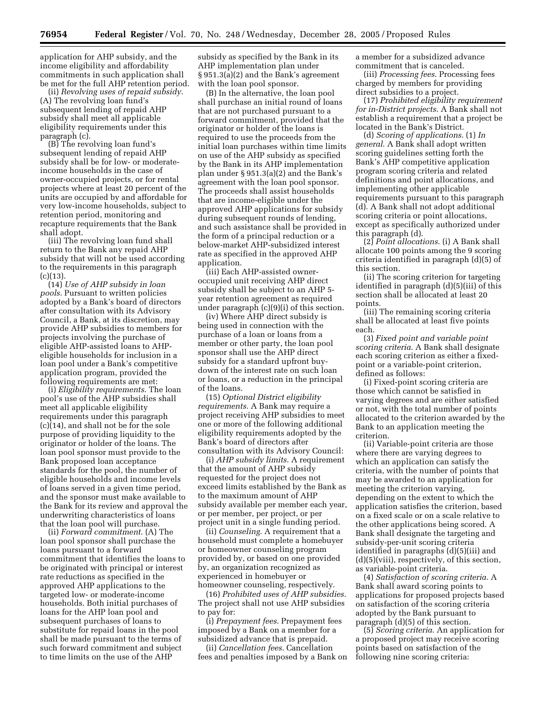application for AHP subsidy, and the income eligibility and affordability commitments in such application shall be met for the full AHP retention period.

(ii) *Revolving uses of repaid subsidy*. (A) The revolving loan fund's subsequent lending of repaid AHP subsidy shall meet all applicable eligibility requirements under this paragraph (c).

(B) The revolving loan fund's subsequent lending of repaid AHP subsidy shall be for low- or moderateincome households in the case of owner-occupied projects, or for rental projects where at least 20 percent of the units are occupied by and affordable for very low-income households, subject to retention period, monitoring and recapture requirements that the Bank shall adopt.

(iii) The revolving loan fund shall return to the Bank any repaid AHP subsidy that will not be used according to the requirements in this paragraph  $(c)(13)$ 

(14) *Use of AHP subsidy in loan pools*. Pursuant to written policies adopted by a Bank's board of directors after consultation with its Advisory Council, a Bank, at its discretion, may provide AHP subsidies to members for projects involving the purchase of eligible AHP-assisted loans to AHPeligible households for inclusion in a loan pool under a Bank's competitive application program, provided the following requirements are met:

(i) *Eligibility requirements*. The loan pool's use of the AHP subsidies shall meet all applicable eligibility requirements under this paragraph (c)(14), and shall not be for the sole purpose of providing liquidity to the originator or holder of the loans. The loan pool sponsor must provide to the Bank proposed loan acceptance standards for the pool, the number of eligible households and income levels of loans served in a given time period, and the sponsor must make available to the Bank for its review and approval the underwriting characteristics of loans that the loan pool will purchase.

(ii) *Forward commitment*. (A) The loan pool sponsor shall purchase the loans pursuant to a forward commitment that identifies the loans to be originated with principal or interest rate reductions as specified in the approved AHP applications to the targeted low- or moderate-income households. Both initial purchases of loans for the AHP loan pool and subsequent purchases of loans to substitute for repaid loans in the pool shall be made pursuant to the terms of such forward commitment and subject to time limits on the use of the AHP

subsidy as specified by the Bank in its AHP implementation plan under § 951.3(a)(2) and the Bank's agreement with the loan pool sponsor.

(B) In the alternative, the loan pool shall purchase an initial round of loans that are not purchased pursuant to a forward commitment, provided that the originator or holder of the loans is required to use the proceeds from the initial loan purchases within time limits on use of the AHP subsidy as specified by the Bank in its AHP implementation plan under § 951.3(a)(2) and the Bank's agreement with the loan pool sponsor. The proceeds shall assist households that are income-eligible under the approved AHP applications for subsidy during subsequent rounds of lending, and such assistance shall be provided in the form of a principal reduction or a below-market AHP-subsidized interest rate as specified in the approved AHP application.

(iii) Each AHP-assisted owneroccupied unit receiving AHP direct subsidy shall be subject to an AHP 5 year retention agreement as required under paragraph (c)(9)(i) of this section.

(iv) Where AHP direct subsidy is being used in connection with the purchase of a loan or loans from a member or other party, the loan pool sponsor shall use the AHP direct subsidy for a standard upfront buydown of the interest rate on such loan or loans, or a reduction in the principal of the loans.

(15) *Optional District eligibility requirements*. A Bank may require a project receiving AHP subsidies to meet one or more of the following additional eligibility requirements adopted by the Bank's board of directors after consultation with its Advisory Council:

(i) *AHP subsidy limits*. A requirement that the amount of AHP subsidy requested for the project does not exceed limits established by the Bank as to the maximum amount of AHP subsidy available per member each year, or per member, per project, or per project unit in a single funding period.

(ii) *Counseling*. A requirement that a household must complete a homebuyer or homeowner counseling program provided by, or based on one provided by, an organization recognized as experienced in homebuyer or homeowner counseling, respectively.

(16) *Prohibited uses of AHP subsidies*. The project shall not use AHP subsidies to pay for:

(i) *Prepayment fees*. Prepayment fees imposed by a Bank on a member for a subsidized advance that is prepaid.

(ii) *Cancellation fees*. Cancellation fees and penalties imposed by a Bank on a member for a subsidized advance commitment that is canceled.

(iii) *Processing fees*. Processing fees charged by members for providing direct subsidies to a project.

(17) *Prohibited eligibility requirement for in-District projects*. A Bank shall not establish a requirement that a project be located in the Bank's District.

(d) *Scoring of applications*. (1) *In general*. A Bank shall adopt written scoring guidelines setting forth the Bank's AHP competitive application program scoring criteria and related definitions and point allocations, and implementing other applicable requirements pursuant to this paragraph (d). A Bank shall not adopt additional scoring criteria or point allocations, except as specifically authorized under this paragraph (d).

(2) *Point allocations*. (i) A Bank shall allocate 100 points among the 9 scoring criteria identified in paragraph (d)(5) of this section.

(ii) The scoring criterion for targeting identified in paragraph (d)(5)(iii) of this section shall be allocated at least 20 points.

(iii) The remaining scoring criteria shall be allocated at least five points each.

(3) *Fixed point and variable point scoring criteria*. A Bank shall designate each scoring criterion as either a fixedpoint or a variable-point criterion, defined as follows:

(i) Fixed-point scoring criteria are those which cannot be satisfied in varying degrees and are either satisfied or not, with the total number of points allocated to the criterion awarded by the Bank to an application meeting the criterion.

(ii) Variable-point criteria are those where there are varying degrees to which an application can satisfy the criteria, with the number of points that may be awarded to an application for meeting the criterion varying, depending on the extent to which the application satisfies the criterion, based on a fixed scale or on a scale relative to the other applications being scored. A Bank shall designate the targeting and subsidy-per-unit scoring criteria identified in paragraphs (d)(5)(iii) and (d)(5)(viii), respectively, of this section, as variable-point criteria.

(4) *Satisfaction of scoring criteria*. A Bank shall award scoring points to applications for proposed projects based on satisfaction of the scoring criteria adopted by the Bank pursuant to paragraph (d)(5) of this section.

(5) *Scoring criteria*. An application for a proposed project may receive scoring points based on satisfaction of the following nine scoring criteria: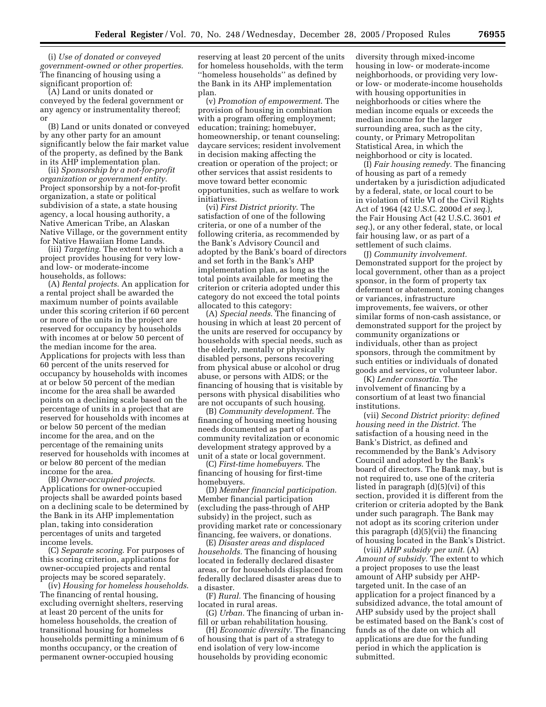(i) *Use of donated or conveyed government-owned or other properties*. The financing of housing using a significant proportion of:

(A) Land or units donated or conveyed by the federal government or any agency or instrumentality thereof; or

(B) Land or units donated or conveyed by any other party for an amount significantly below the fair market value of the property, as defined by the Bank in its AHP implementation plan.

(ii) *Sponsorship by a not-for-profit organization or government entity*. Project sponsorship by a not-for-profit organization, a state or political subdivision of a state, a state housing agency, a local housing authority, a Native American Tribe, an Alaskan Native Village, or the government entity for Native Hawaiian Home Lands.

(iii) *Targeting*. The extent to which a project provides housing for very lowand low- or moderate-income households, as follows:

(A) *Rental projects*. An application for a rental project shall be awarded the maximum number of points available under this scoring criterion if 60 percent or more of the units in the project are reserved for occupancy by households with incomes at or below 50 percent of the median income for the area. Applications for projects with less than 60 percent of the units reserved for occupancy by households with incomes at or below 50 percent of the median income for the area shall be awarded points on a declining scale based on the percentage of units in a project that are reserved for households with incomes at or below 50 percent of the median income for the area, and on the percentage of the remaining units reserved for households with incomes at or below 80 percent of the median income for the area.

(B) *Owner-occupied projects*. Applications for owner-occupied projects shall be awarded points based on a declining scale to be determined by the Bank in its AHP implementation plan, taking into consideration percentages of units and targeted income levels.

(C) *Separate scoring*. For purposes of this scoring criterion, applications for owner-occupied projects and rental projects may be scored separately.

(iv) *Housing for homeless households*. The financing of rental housing, excluding overnight shelters, reserving at least 20 percent of the units for homeless households, the creation of transitional housing for homeless households permitting a minimum of 6 months occupancy, or the creation of permanent owner-occupied housing

reserving at least 20 percent of the units for homeless households, with the term ''homeless households'' as defined by the Bank in its AHP implementation plan.

(v) *Promotion of empowerment*. The provision of housing in combination with a program offering employment; education; training; homebuyer, homeownership, or tenant counseling; daycare services; resident involvement in decision making affecting the creation or operation of the project; or other services that assist residents to move toward better economic opportunities, such as welfare to work initiatives.

(vi) *First District priority*. The satisfaction of one of the following criteria, or one of a number of the following criteria, as recommended by the Bank's Advisory Council and adopted by the Bank's board of directors and set forth in the Bank's AHP implementation plan, as long as the total points available for meeting the criterion or criteria adopted under this category do not exceed the total points allocated to this category:

(A) *Special needs*. The financing of housing in which at least 20 percent of the units are reserved for occupancy by households with special needs, such as the elderly, mentally or physically disabled persons, persons recovering from physical abuse or alcohol or drug abuse, or persons with AIDS; or the financing of housing that is visitable by persons with physical disabilities who are not occupants of such housing.

(B) *Community development*. The financing of housing meeting housing needs documented as part of a community revitalization or economic development strategy approved by a unit of a state or local government.

(C) *First-time homebuyers*. The financing of housing for first-time homebuyers.

(D) *Member financial participation*. Member financial participation (excluding the pass-through of AHP subsidy) in the project, such as providing market rate or concessionary financing, fee waivers, or donations.

(E) *Disaster areas and displaced households.* The financing of housing located in federally declared disaster areas, or for households displaced from federally declared disaster areas due to a disaster.

(F) *Rural.* The financing of housing located in rural areas.

(G) *Urban.* The financing of urban infill or urban rehabilitation housing.

(H) *Economic diversity.* The financing of housing that is part of a strategy to end isolation of very low-income households by providing economic

diversity through mixed-income housing in low- or moderate-income neighborhoods, or providing very lowor low- or moderate-income households with housing opportunities in neighborhoods or cities where the median income equals or exceeds the median income for the larger surrounding area, such as the city, county, or Primary Metropolitan Statistical Area, in which the neighborhood or city is located.

(I) *Fair housing remedy.* The financing of housing as part of a remedy undertaken by a jurisdiction adjudicated by a federal, state, or local court to be in violation of title VI of the Civil Rights Act of 1964 (42 U.S.C. 2000d *et seq.*), the Fair Housing Act (42 U.S.C. 3601 *et seq.*), or any other federal, state, or local fair housing law, or as part of a settlement of such claims.

(J) *Community involvement.*  Demonstrated support for the project by local government, other than as a project sponsor, in the form of property tax deferment or abatement, zoning changes or variances, infrastructure improvements, fee waivers, or other similar forms of non-cash assistance, or demonstrated support for the project by community organizations or individuals, other than as project sponsors, through the commitment by such entities or individuals of donated goods and services, or volunteer labor.

(K) *Lender consortia.* The involvement of financing by a consortium of at least two financial institutions.

(vii) *Second District priority: defined housing need in the District.* The satisfaction of a housing need in the Bank's District, as defined and recommended by the Bank's Advisory Council and adopted by the Bank's board of directors. The Bank may, but is not required to, use one of the criteria listed in paragraph (d)(5)(vi) of this section, provided it is different from the criterion or criteria adopted by the Bank under such paragraph. The Bank may not adopt as its scoring criterion under this paragraph (d)(5)(vii) the financing of housing located in the Bank's District.

(viii) *AHP subsidy per unit.* (A) *Amount of subsidy.* The extent to which a project proposes to use the least amount of AHP subsidy per AHPtargeted unit. In the case of an application for a project financed by a subsidized advance, the total amount of AHP subsidy used by the project shall be estimated based on the Bank's cost of funds as of the date on which all applications are due for the funding period in which the application is submitted.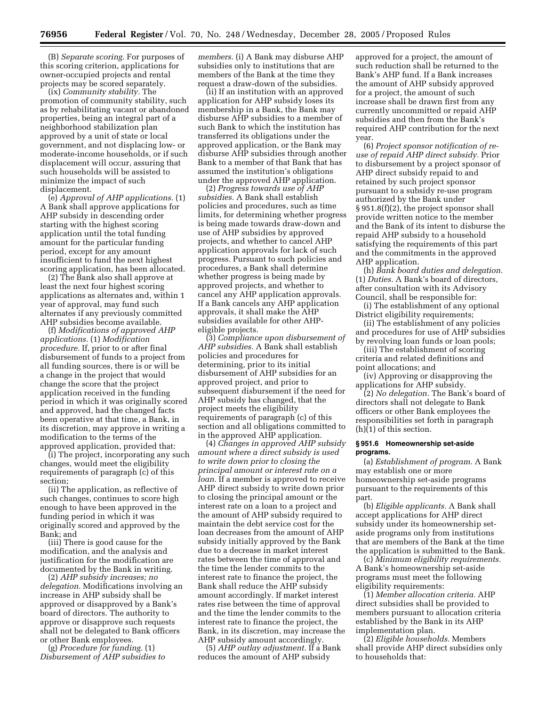(B) *Separate scoring.* For purposes of this scoring criterion, applications for owner-occupied projects and rental projects may be scored separately.

(ix) *Community stability.* The promotion of community stability, such as by rehabilitating vacant or abandoned properties, being an integral part of a neighborhood stabilization plan approved by a unit of state or local government, and not displacing low- or moderate-income households, or if such displacement will occur, assuring that such households will be assisted to minimize the impact of such displacement.

(e) *Approval of AHP applications.* (1) A Bank shall approve applications for AHP subsidy in descending order starting with the highest scoring application until the total funding amount for the particular funding period, except for any amount insufficient to fund the next highest scoring application, has been allocated.

(2) The Bank also shall approve at least the next four highest scoring applications as alternates and, within 1 year of approval, may fund such alternates if any previously committed AHP subsidies become available.

(f) *Modifications of approved AHP applications.* (1) *Modification procedure.* If, prior to or after final disbursement of funds to a project from all funding sources, there is or will be a change in the project that would change the score that the project application received in the funding period in which it was originally scored and approved, had the changed facts been operative at that time, a Bank, in its discretion, may approve in writing a modification to the terms of the approved application, provided that:

(i) The project, incorporating any such changes, would meet the eligibility requirements of paragraph (c) of this section;

(ii) The application, as reflective of such changes, continues to score high enough to have been approved in the funding period in which it was originally scored and approved by the Bank; and

(iii) There is good cause for the modification, and the analysis and justification for the modification are documented by the Bank in writing.

(2) *AHP subsidy increases; no delegation.* Modifications involving an increase in AHP subsidy shall be approved or disapproved by a Bank's board of directors. The authority to approve or disapprove such requests shall not be delegated to Bank officers or other Bank employees.

(g) *Procedure for funding.* (1) *Disbursement of AHP subsidies to*  *members.* (i) A Bank may disburse AHP subsidies only to institutions that are members of the Bank at the time they request a draw-down of the subsidies.

(ii) If an institution with an approved application for AHP subsidy loses its membership in a Bank, the Bank may disburse AHP subsidies to a member of such Bank to which the institution has transferred its obligations under the approved application, or the Bank may disburse AHP subsidies through another Bank to a member of that Bank that has assumed the institution's obligations under the approved AHP application.

(2) *Progress towards use of AHP subsidies.* A Bank shall establish policies and procedures, such as time limits, for determining whether progress is being made towards draw-down and use of AHP subsidies by approved projects, and whether to cancel AHP application approvals for lack of such progress. Pursuant to such policies and procedures, a Bank shall determine whether progress is being made by approved projects, and whether to cancel any AHP application approvals. If a Bank cancels any AHP application approvals, it shall make the AHP subsidies available for other AHPeligible projects.

(3) *Compliance upon disbursement of AHP subsidies.* A Bank shall establish policies and procedures for determining, prior to its initial disbursement of AHP subsidies for an approved project, and prior to subsequent disbursement if the need for AHP subsidy has changed, that the project meets the eligibility requirements of paragraph (c) of this section and all obligations committed to in the approved AHP application.

(4) *Changes in approved AHP subsidy amount where a direct subsidy is used to write down prior to closing the principal amount or interest rate on a loan.* If a member is approved to receive AHP direct subsidy to write down prior to closing the principal amount or the interest rate on a loan to a project and the amount of AHP subsidy required to maintain the debt service cost for the loan decreases from the amount of AHP subsidy initially approved by the Bank due to a decrease in market interest rates between the time of approval and the time the lender commits to the interest rate to finance the project, the Bank shall reduce the AHP subsidy amount accordingly. If market interest rates rise between the time of approval and the time the lender commits to the interest rate to finance the project, the Bank, in its discretion, may increase the AHP subsidy amount accordingly.

(5) *AHP outlay adjustment.* If a Bank reduces the amount of AHP subsidy

approved for a project, the amount of such reduction shall be returned to the Bank's AHP fund. If a Bank increases the amount of AHP subsidy approved for a project, the amount of such increase shall be drawn first from any currently uncommitted or repaid AHP subsidies and then from the Bank's required AHP contribution for the next year.

(6) *Project sponsor notification of reuse of repaid AHP direct subsidy.* Prior to disbursement by a project sponsor of AHP direct subsidy repaid to and retained by such project sponsor pursuant to a subsidy re-use program authorized by the Bank under § 951.8(f)(2), the project sponsor shall provide written notice to the member and the Bank of its intent to disburse the repaid AHP subsidy to a household satisfying the requirements of this part and the commitments in the approved AHP application.

(h) *Bank board duties and delegation.*  (1) *Duties.* A Bank's board of directors, after consultation with its Advisory Council, shall be responsible for:

(i) The establishment of any optional District eligibility requirements;

(ii) The establishment of any policies and procedures for use of AHP subsidies by revolving loan funds or loan pools;

(iii) The establishment of scoring criteria and related definitions and point allocations; and

(iv) Approving or disapproving the applications for AHP subsidy.

(2) *No delegation.* The Bank's board of directors shall not delegate to Bank officers or other Bank employees the responsibilities set forth in paragraph (h)(1) of this section.

#### **§ 951.6 Homeownership set-aside programs.**

(a) *Establishment of program.* A Bank may establish one or more homeownership set-aside programs pursuant to the requirements of this part.

(b) *Eligible applicants.* A Bank shall accept applications for AHP direct subsidy under its homeownership setaside programs only from institutions that are members of the Bank at the time the application is submitted to the Bank.

(c) *Minimum eligibility requirements.*  A Bank's homeownership set-aside programs must meet the following eligibility requirements:

(1) *Member allocation criteria.* AHP direct subsidies shall be provided to members pursuant to allocation criteria established by the Bank in its AHP implementation plan.

(2) *Eligible households.* Members shall provide AHP direct subsidies only to households that: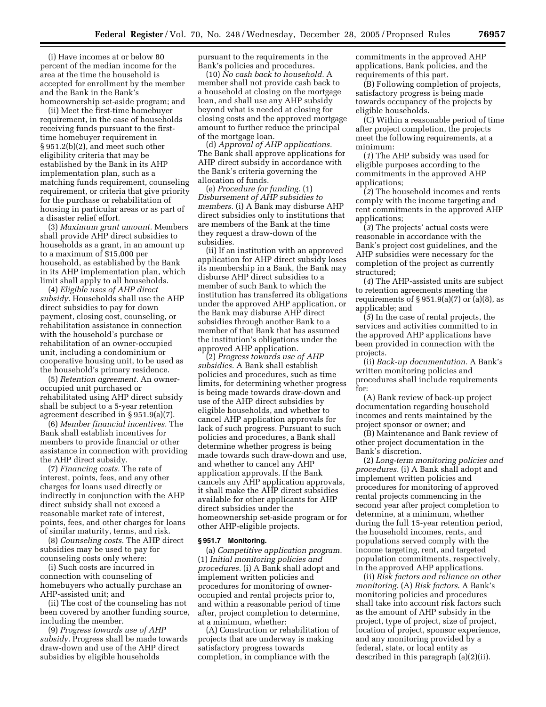(i) Have incomes at or below 80 percent of the median income for the area at the time the household is accepted for enrollment by the member and the Bank in the Bank's homeownership set-aside program; and

(ii) Meet the first-time homebuyer requirement, in the case of households receiving funds pursuant to the firsttime homebuyer requirement in § 951.2(b)(2), and meet such other eligibility criteria that may be established by the Bank in its AHP implementation plan, such as a matching funds requirement, counseling requirement, or criteria that give priority for the purchase or rehabilitation of housing in particular areas or as part of a disaster relief effort.

(3) *Maximum grant amount.* Members shall provide AHP direct subsidies to households as a grant, in an amount up to a maximum of \$15,000 per household, as established by the Bank in its AHP implementation plan, which limit shall apply to all households.

(4) *Eligible uses of AHP direct subsidy.* Households shall use the AHP direct subsidies to pay for down payment, closing cost, counseling, or rehabilitation assistance in connection with the household's purchase or rehabilitation of an owner-occupied unit, including a condominium or cooperative housing unit, to be used as the household's primary residence.

(5) *Retention agreement.* An owneroccupied unit purchased or rehabilitated using AHP direct subsidy shall be subject to a 5-year retention agreement described in § 951.9(a)(7).

(6) *Member financial incentives.* The Bank shall establish incentives for members to provide financial or other assistance in connection with providing the AHP direct subsidy.

(7) *Financing costs.* The rate of interest, points, fees, and any other charges for loans used directly or indirectly in conjunction with the AHP direct subsidy shall not exceed a reasonable market rate of interest, points, fees, and other charges for loans of similar maturity, terms, and risk.

(8) *Counseling costs.* The AHP direct subsidies may be used to pay for counseling costs only where:

(i) Such costs are incurred in connection with counseling of homebuyers who actually purchase an AHP-assisted unit; and

(ii) The cost of the counseling has not been covered by another funding source, including the member.

(9) *Progress towards use of AHP subsidy.* Progress shall be made towards draw-down and use of the AHP direct subsidies by eligible households

pursuant to the requirements in the Bank's policies and procedures.

(10) *No cash back to household.* A member shall not provide cash back to a household at closing on the mortgage loan, and shall use any AHP subsidy beyond what is needed at closing for closing costs and the approved mortgage amount to further reduce the principal of the mortgage loan.

(d) *Approval of AHP applications.*  The Bank shall approve applications for AHP direct subsidy in accordance with the Bank's criteria governing the allocation of funds.

(e) *Procedure for funding.* (1) *Disbursement of AHP subsidies to members.* (i) A Bank may disburse AHP direct subsidies only to institutions that are members of the Bank at the time they request a draw-down of the subsidies.

(ii) If an institution with an approved application for AHP direct subsidy loses its membership in a Bank, the Bank may disburse AHP direct subsidies to a member of such Bank to which the institution has transferred its obligations under the approved AHP application, or the Bank may disburse AHP direct subsidies through another Bank to a member of that Bank that has assumed the institution's obligations under the approved AHP application.

(2) *Progress towards use of AHP subsidies.* A Bank shall establish policies and procedures, such as time limits, for determining whether progress is being made towards draw-down and use of the AHP direct subsidies by eligible households, and whether to cancel AHP application approvals for lack of such progress. Pursuant to such policies and procedures, a Bank shall determine whether progress is being made towards such draw-down and use, and whether to cancel any AHP application approvals. If the Bank cancels any AHP application approvals, it shall make the AHP direct subsidies available for other applicants for AHP direct subsidies under the homeownership set-aside program or for other AHP-eligible projects.

#### **§ 951.7 Monitoring.**

(a) *Competitive application program.*  (1) *Initial monitoring policies and procedures.* (i) A Bank shall adopt and implement written policies and procedures for monitoring of owneroccupied and rental projects prior to, and within a reasonable period of time after, project completion to determine, at a minimum, whether:

(A) Construction or rehabilitation of projects that are underway is making satisfactory progress towards completion, in compliance with the

commitments in the approved AHP applications, Bank policies, and the requirements of this part.

(B) Following completion of projects, satisfactory progress is being made towards occupancy of the projects by eligible households.

(C) Within a reasonable period of time after project completion, the projects meet the following requirements, at a minimum:

(*1*) The AHP subsidy was used for eligible purposes according to the commitments in the approved AHP applications;

(*2*) The household incomes and rents comply with the income targeting and rent commitments in the approved AHP applications;

(*3*) The projects' actual costs were reasonable in accordance with the Bank's project cost guidelines, and the AHP subsidies were necessary for the completion of the project as currently structured;

(*4*) The AHP-assisted units are subject to retention agreements meeting the requirements of  $\S 951.9(a)(7)$  or  $(a)(8)$ , as applicable; and

(*5*) In the case of rental projects, the services and activities committed to in the approved AHP applications have been provided in connection with the projects.

(ii) *Back-up documentation.* A Bank's written monitoring policies and procedures shall include requirements for:

(A) Bank review of back-up project documentation regarding household incomes and rents maintained by the project sponsor or owner; and

(B) Maintenance and Bank review of other project documentation in the Bank's discretion.

(2) *Long-term monitoring policies and procedures.* (i) A Bank shall adopt and implement written policies and procedures for monitoring of approved rental projects commencing in the second year after project completion to determine, at a minimum, whether during the full 15-year retention period, the household incomes, rents, and populations served comply with the income targeting, rent, and targeted population commitments, respectively, in the approved AHP applications.

(ii) *Risk factors and reliance on other monitoring.* (A) *Risk factors*. A Bank's monitoring policies and procedures shall take into account risk factors such as the amount of AHP subsidy in the project, type of project, size of project, location of project, sponsor experience, and any monitoring provided by a federal, state, or local entity as described in this paragraph (a)(2)(ii).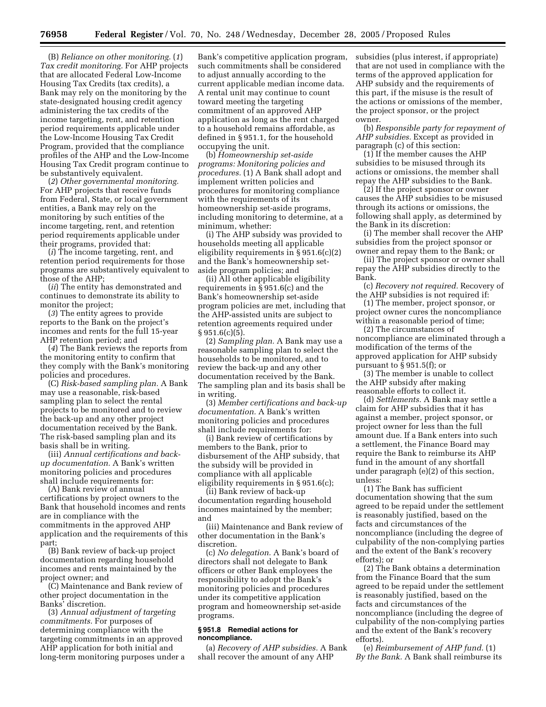(B) *Reliance on other monitoring.* (*1*) *Tax credit monitoring.* For AHP projects that are allocated Federal Low-Income Housing Tax Credits (tax credits), a Bank may rely on the monitoring by the state-designated housing credit agency administering the tax credits of the income targeting, rent, and retention period requirements applicable under the Low-Income Housing Tax Credit Program, provided that the compliance profiles of the AHP and the Low-Income Housing Tax Credit program continue to be substantively equivalent.

(*2*) *Other governmental monitoring.*  For AHP projects that receive funds from Federal, State, or local government entities, a Bank may rely on the monitoring by such entities of the income targeting, rent, and retention period requirements applicable under their programs, provided that:

(*i*) The income targeting, rent, and retention period requirements for those programs are substantively equivalent to those of the AHP;

(*ii*) The entity has demonstrated and continues to demonstrate its ability to monitor the project;

(*3*) The entity agrees to provide reports to the Bank on the project's incomes and rents for the full 15-year AHP retention period; and

(*4*) The Bank reviews the reports from the monitoring entity to confirm that they comply with the Bank's monitoring policies and procedures.

(C) *Risk-based sampling plan.* A Bank may use a reasonable, risk-based sampling plan to select the rental projects to be monitored and to review the back-up and any other project documentation received by the Bank. The risk-based sampling plan and its basis shall be in writing.

(iii) *Annual certifications and backup documentation.* A Bank's written monitoring policies and procedures shall include requirements for:

(A) Bank review of annual certifications by project owners to the Bank that household incomes and rents are in compliance with the commitments in the approved AHP application and the requirements of this part;

(B) Bank review of back-up project documentation regarding household incomes and rents maintained by the project owner; and

(C) Maintenance and Bank review of other project documentation in the Banks' discretion.

(3) *Annual adjustment of targeting commitments.* For purposes of determining compliance with the targeting commitments in an approved AHP application for both initial and long-term monitoring purposes under a

Bank's competitive application program, such commitments shall be considered to adjust annually according to the current applicable median income data. A rental unit may continue to count toward meeting the targeting commitment of an approved AHP application as long as the rent charged to a household remains affordable, as defined in § 951.1, for the household occupying the unit.

(b) *Homeownership set-aside programs: Monitoring policies and procedures.* (1) A Bank shall adopt and implement written policies and procedures for monitoring compliance with the requirements of its homeownership set-aside programs, including monitoring to determine, at a minimum, whether:

(i) The AHP subsidy was provided to households meeting all applicable eligibility requirements in § 951.6(c)(2) and the Bank's homeownership setaside program policies; and

(ii) All other applicable eligibility requirements in § 951.6(c) and the Bank's homeownership set-aside program policies are met, including that the AHP-assisted units are subject to retention agreements required under  $§ 951.6(c)(5).$ 

(2) *Sampling plan.* A Bank may use a reasonable sampling plan to select the households to be monitored, and to review the back-up and any other documentation received by the Bank. The sampling plan and its basis shall be in writing.

(3) *Member certifications and back-up documentation.* A Bank's written monitoring policies and procedures shall include requirements for:

(i) Bank review of certifications by members to the Bank, prior to disbursement of the AHP subsidy, that the subsidy will be provided in compliance with all applicable eligibility requirements in § 951.6(c);

(ii) Bank review of back-up documentation regarding household incomes maintained by the member; and

(iii) Maintenance and Bank review of other documentation in the Bank's discretion.

(c) *No delegation.* A Bank's board of directors shall not delegate to Bank officers or other Bank employees the responsibility to adopt the Bank's monitoring policies and procedures under its competitive application program and homeownership set-aside programs.

#### **§ 951.8 Remedial actions for noncompliance.**

(a) *Recovery of AHP subsidies.* A Bank shall recover the amount of any AHP

subsidies (plus interest, if appropriate) that are not used in compliance with the terms of the approved application for AHP subsidy and the requirements of this part, if the misuse is the result of the actions or omissions of the member, the project sponsor, or the project owner.

(b) *Responsible party for repayment of AHP subsidies.* Except as provided in paragraph (c) of this section:

(1) If the member causes the AHP subsidies to be misused through its actions or omissions, the member shall repay the AHP subsidies to the Bank.

(2) If the project sponsor or owner causes the AHP subsidies to be misused through its actions or omissions, the following shall apply, as determined by the Bank in its discretion:

(i) The member shall recover the AHP subsidies from the project sponsor or owner and repay them to the Bank; or

(ii) The project sponsor or owner shall repay the AHP subsidies directly to the Bank.

(c) *Recovery not required.* Recovery of the AHP subsidies is not required if:

(1) The member, project sponsor, or project owner cures the noncompliance within a reasonable period of time;

(2) The circumstances of noncompliance are eliminated through a modification of the terms of the approved application for AHP subsidy pursuant to § 951.5(f); or

(3) The member is unable to collect the AHP subsidy after making reasonable efforts to collect it.

(d) *Settlements.* A Bank may settle a claim for AHP subsidies that it has against a member, project sponsor, or project owner for less than the full amount due. If a Bank enters into such a settlement, the Finance Board may require the Bank to reimburse its AHP fund in the amount of any shortfall under paragraph (e)(2) of this section, unless:

(1) The Bank has sufficient documentation showing that the sum agreed to be repaid under the settlement is reasonably justified, based on the facts and circumstances of the noncompliance (including the degree of culpability of the non-complying parties and the extent of the Bank's recovery efforts); or

(2) The Bank obtains a determination from the Finance Board that the sum agreed to be repaid under the settlement is reasonably justified, based on the facts and circumstances of the noncompliance (including the degree of culpability of the non-complying parties and the extent of the Bank's recovery efforts).

(e) *Reimbursement of AHP fund.* (1) *By the Bank.* A Bank shall reimburse its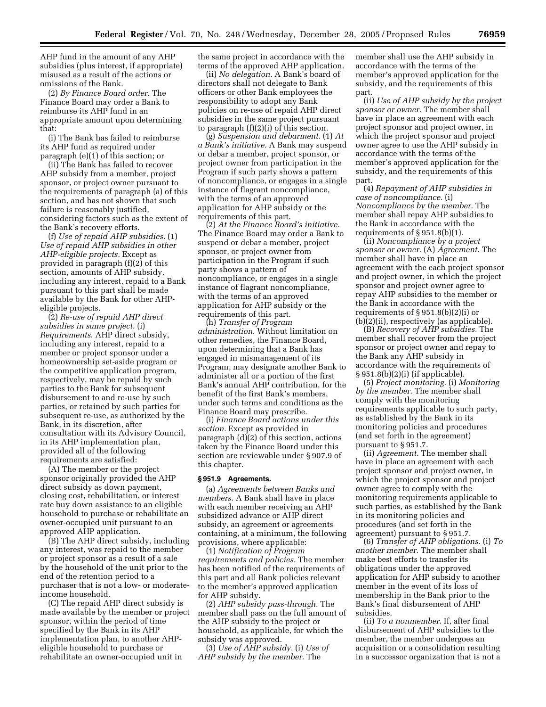AHP fund in the amount of any AHP subsidies (plus interest, if appropriate) misused as a result of the actions or omissions of the Bank.

(2) *By Finance Board order.* The Finance Board may order a Bank to reimburse its AHP fund in an appropriate amount upon determining that:

(i) The Bank has failed to reimburse its AHP fund as required under paragraph (e)(1) of this section; or

(ii) The Bank has failed to recover AHP subsidy from a member, project sponsor, or project owner pursuant to the requirements of paragraph (a) of this section, and has not shown that such failure is reasonably justified, considering factors such as the extent of the Bank's recovery efforts.

(f) *Use of repaid AHP subsidies.* (1) *Use of repaid AHP subsidies in other AHP-eligible projects.* Except as provided in paragraph (f)(2) of this section, amounts of AHP subsidy, including any interest, repaid to a Bank pursuant to this part shall be made available by the Bank for other AHPeligible projects.

(2) *Re-use of repaid AHP direct subsidies in same project.* (i) *Requirements*. AHP direct subsidy, including any interest, repaid to a member or project sponsor under a homeownership set-aside program or the competitive application program, respectively, may be repaid by such parties to the Bank for subsequent disbursement to and re-use by such parties, or retained by such parties for subsequent re-use, as authorized by the Bank, in its discretion, after consultation with its Advisory Council, in its AHP implementation plan, provided all of the following requirements are satisfied:

(A) The member or the project sponsor originally provided the AHP direct subsidy as down payment, closing cost, rehabilitation, or interest rate buy down assistance to an eligible household to purchase or rehabilitate an owner-occupied unit pursuant to an approved AHP application.

(B) The AHP direct subsidy, including any interest, was repaid to the member or project sponsor as a result of a sale by the household of the unit prior to the end of the retention period to a purchaser that is not a low- or moderateincome household.

(C) The repaid AHP direct subsidy is made available by the member or project sponsor, within the period of time specified by the Bank in its AHP implementation plan, to another AHPeligible household to purchase or rehabilitate an owner-occupied unit in

the same project in accordance with the terms of the approved AHP application.

(ii) *No delegation.* A Bank's board of directors shall not delegate to Bank officers or other Bank employees the responsibility to adopt any Bank policies on re-use of repaid AHP direct subsidies in the same project pursuant to paragraph (f)(2)(i) of this section.

(g) *Suspension and debarment.* (1) *At a Bank's initiative.* A Bank may suspend or debar a member, project sponsor, or project owner from participation in the Program if such party shows a pattern of noncompliance, or engages in a single instance of flagrant noncompliance, with the terms of an approved application for AHP subsidy or the requirements of this part.

(2) *At the Finance Board's initiative.*  The Finance Board may order a Bank to suspend or debar a member, project sponsor, or project owner from participation in the Program if such party shows a pattern of noncompliance, or engages in a single instance of flagrant noncompliance, with the terms of an approved application for AHP subsidy or the requirements of this part.

(h) *Transfer of Program administration*. Without limitation on other remedies, the Finance Board, upon determining that a Bank has engaged in mismanagement of its Program, may designate another Bank to administer all or a portion of the first Bank's annual AHP contribution, for the benefit of the first Bank's members, under such terms and conditions as the Finance Board may prescribe.

(i) *Finance Board actions under this section*. Except as provided in paragraph (d)(2) of this section, actions taken by the Finance Board under this section are reviewable under § 907.9 of this chapter.

#### **§ 951.9 Agreements.**

(a) *Agreements between Banks and members*. A Bank shall have in place with each member receiving an AHP subsidized advance or AHP direct subsidy, an agreement or agreements containing, at a minimum, the following provisions, where applicable:

(1) *Notification of Program requirements and policies.* The member has been notified of the requirements of this part and all Bank policies relevant to the member's approved application for AHP subsidy.

(2) *AHP subsidy pass-through.* The member shall pass on the full amount of the AHP subsidy to the project or household, as applicable, for which the subsidy was approved.

(3) *Use of AHP subsidy.* (i) *Use of AHP subsidy by the member*. The

member shall use the AHP subsidy in accordance with the terms of the member's approved application for the subsidy, and the requirements of this part.

(ii) *Use of AHP subsidy by the project sponsor or owner.* The member shall have in place an agreement with each project sponsor and project owner, in which the project sponsor and project owner agree to use the AHP subsidy in accordance with the terms of the member's approved application for the subsidy, and the requirements of this part.

(4) *Repayment of AHP subsidies in case of noncompliance.* (i) *Noncompliance by the member.* The member shall repay AHP subsidies to the Bank in accordance with the requirements of § 951.8(b)(1).

(ii) *Noncompliance by a project sponsor or owner.* (A) *Agreement*. The member shall have in place an agreement with the each project sponsor and project owner, in which the project sponsor and project owner agree to repay AHP subsidies to the member or the Bank in accordance with the requirements of § 951.8(b)(2)(i) or (b)(2)(ii), respectively (as applicable).

(B) *Recovery of AHP subsidies.* The member shall recover from the project sponsor or project owner and repay to the Bank any AHP subsidy in accordance with the requirements of § 951.8(b)(2)(i) (if applicable).

(5) *Project monitoring.* (i) *Monitoring by the member.* The member shall comply with the monitoring requirements applicable to such party, as established by the Bank in its monitoring policies and procedures (and set forth in the agreement) pursuant to § 951.7.

(ii) *Agreement.* The member shall have in place an agreement with each project sponsor and project owner, in which the project sponsor and project owner agree to comply with the monitoring requirements applicable to such parties, as established by the Bank in its monitoring policies and procedures (and set forth in the agreement) pursuant to § 951.7.

(6) *Transfer of AHP obligations.* (i) *To another member.* The member shall make best efforts to transfer its obligations under the approved application for AHP subsidy to another member in the event of its loss of membership in the Bank prior to the Bank's final disbursement of AHP subsidies.

(ii) *To a nonmember*. If, after final disbursement of AHP subsidies to the member, the member undergoes an acquisition or a consolidation resulting in a successor organization that is not a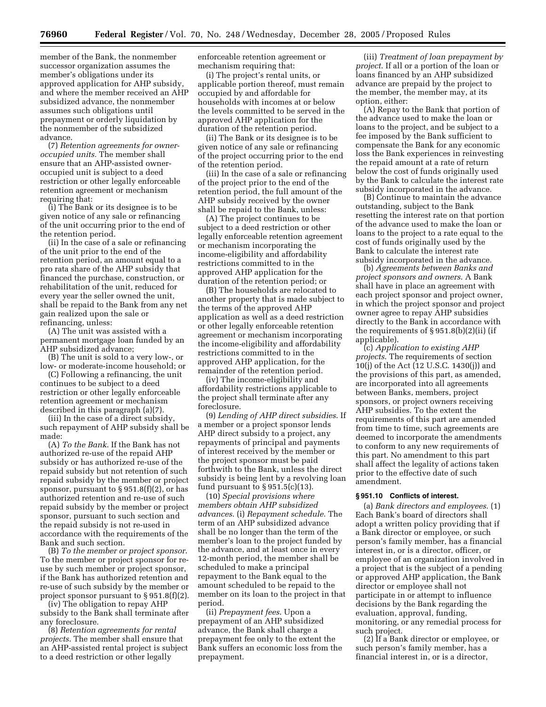member of the Bank, the nonmember successor organization assumes the member's obligations under its approved application for AHP subsidy, and where the member received an AHP subsidized advance, the nonmember assumes such obligations until prepayment or orderly liquidation by the nonmember of the subsidized advance.

(7) *Retention agreements for owneroccupied units.* The member shall ensure that an AHP-assisted owneroccupied unit is subject to a deed restriction or other legally enforceable retention agreement or mechanism requiring that:

(i) The Bank or its designee is to be given notice of any sale or refinancing of the unit occurring prior to the end of the retention period.

(ii) In the case of a sale or refinancing of the unit prior to the end of the retention period, an amount equal to a pro rata share of the AHP subsidy that financed the purchase, construction, or rehabilitation of the unit, reduced for every year the seller owned the unit, shall be repaid to the Bank from any net gain realized upon the sale or refinancing, unless:

(A) The unit was assisted with a permanent mortgage loan funded by an AHP subsidized advance;

(B) The unit is sold to a very low-, or low- or moderate-income household; or

(C) Following a refinancing, the unit continues to be subject to a deed restriction or other legally enforceable retention agreement or mechanism described in this paragraph (a)(7).

(iii) In the case of a direct subsidy, such repayment of AHP subsidy shall be made:

(A) *To the Bank*. If the Bank has not authorized re-use of the repaid AHP subsidy or has authorized re-use of the repaid subsidy but not retention of such repaid subsidy by the member or project sponsor, pursuant to  $\S 951.8(f)(2)$ , or has authorized retention and re-use of such repaid subsidy by the member or project sponsor, pursuant to such section and the repaid subsidy is not re-used in accordance with the requirements of the Bank and such section.

(B) *To the member or project sponsor*. To the member or project sponsor for reuse by such member or project sponsor, if the Bank has authorized retention and re-use of such subsidy by the member or project sponsor pursuant to § 951.8(f)(2).

(iv) The obligation to repay AHP subsidy to the Bank shall terminate after any foreclosure.

(8) *Retention agreements for rental projects*. The member shall ensure that an AHP-assisted rental project is subject to a deed restriction or other legally

enforceable retention agreement or mechanism requiring that:

(i) The project's rental units, or applicable portion thereof, must remain occupied by and affordable for households with incomes at or below the levels committed to be served in the approved AHP application for the duration of the retention period.

(ii) The Bank or its designee is to be given notice of any sale or refinancing of the project occurring prior to the end of the retention period.

(iii) In the case of a sale or refinancing of the project prior to the end of the retention period, the full amount of the AHP subsidy received by the owner shall be repaid to the Bank, unless:

(A) The project continues to be subject to a deed restriction or other legally enforceable retention agreement or mechanism incorporating the income-eligibility and affordability restrictions committed to in the approved AHP application for the duration of the retention period; or

(B) The households are relocated to another property that is made subject to the terms of the approved AHP application as well as a deed restriction or other legally enforceable retention agreement or mechanism incorporating the income-eligibility and affordability restrictions committed to in the approved AHP application, for the remainder of the retention period.

(iv) The income-eligibility and affordability restrictions applicable to the project shall terminate after any foreclosure.

(9) *Lending of AHP direct subsidies*. If a member or a project sponsor lends AHP direct subsidy to a project, any repayments of principal and payments of interest received by the member or the project sponsor must be paid forthwith to the Bank, unless the direct subsidy is being lent by a revolving loan fund pursuant to  $\S 951.5(c)(13)$ .

(10) *Special provisions where members obtain AHP subsidized advances*. (i) *Repayment schedule*. The term of an AHP subsidized advance shall be no longer than the term of the member's loan to the project funded by the advance, and at least once in every 12-month period, the member shall be scheduled to make a principal repayment to the Bank equal to the amount scheduled to be repaid to the member on its loan to the project in that period.

(ii) *Prepayment fees*. Upon a prepayment of an AHP subsidized advance, the Bank shall charge a prepayment fee only to the extent the Bank suffers an economic loss from the prepayment.

(iii) *Treatment of loan prepayment by project*. If all or a portion of the loan or loans financed by an AHP subsidized advance are prepaid by the project to the member, the member may, at its option, either:

(A) Repay to the Bank that portion of the advance used to make the loan or loans to the project, and be subject to a fee imposed by the Bank sufficient to compensate the Bank for any economic loss the Bank experiences in reinvesting the repaid amount at a rate of return below the cost of funds originally used by the Bank to calculate the interest rate subsidy incorporated in the advance.

(B) Continue to maintain the advance outstanding, subject to the Bank resetting the interest rate on that portion of the advance used to make the loan or loans to the project to a rate equal to the cost of funds originally used by the Bank to calculate the interest rate subsidy incorporated in the advance.

(b) *Agreements between Banks and project sponsors and owners*. A Bank shall have in place an agreement with each project sponsor and project owner, in which the project sponsor and project owner agree to repay AHP subsidies directly to the Bank in accordance with the requirements of  $\S 951.8(b)(2)(ii)$  (if applicable).

(c) *Application to existing AHP projects*. The requirements of section 10(j) of the Act (12 U.S.C. 1430(j)) and the provisions of this part, as amended, are incorporated into all agreements between Banks, members, project sponsors, or project owners receiving AHP subsidies. To the extent the requirements of this part are amended from time to time, such agreements are deemed to incorporate the amendments to conform to any new requirements of this part. No amendment to this part shall affect the legality of actions taken prior to the effective date of such amendment.

#### **§ 951.10 Conflicts of interest.**

(a) *Bank directors and employees*. (1) Each Bank's board of directors shall adopt a written policy providing that if a Bank director or employee, or such person's family member, has a financial interest in, or is a director, officer, or employee of an organization involved in a project that is the subject of a pending or approved AHP application, the Bank director or employee shall not participate in or attempt to influence decisions by the Bank regarding the evaluation, approval, funding, monitoring, or any remedial process for such project.

(2) If a Bank director or employee, or such person's family member, has a financial interest in, or is a director,